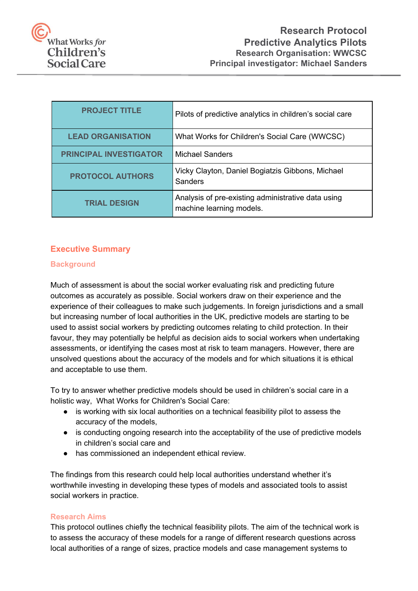

| <b>PROJECT TITLE</b>          | Pilots of predictive analytics in children's social care                       |
|-------------------------------|--------------------------------------------------------------------------------|
| <b>LEAD ORGANISATION</b>      | What Works for Children's Social Care (WWCSC)                                  |
| <b>PRINCIPAL INVESTIGATOR</b> | <b>Michael Sanders</b>                                                         |
| <b>PROTOCOL AUTHORS</b>       | Vicky Clayton, Daniel Bogiatzis Gibbons, Michael<br><b>Sanders</b>             |
| <b>TRIAL DESIGN</b>           | Analysis of pre-existing administrative data using<br>machine learning models. |

# **Executive Summary**

### **Background**

Much of assessment is about the social worker evaluating risk and predicting future outcomes as accurately as possible. Social workers draw on their experience and the experience of their colleagues to make such judgements. In foreign jurisdictions and a small but increasing number of local authorities in the UK, predictive models are starting to be used to assist social workers by predicting outcomes relating to child protection. In their favour, they may potentially be helpful as decision aids to social workers when undertaking assessments, or identifying the cases most at risk to team managers. However, there are unsolved questions about the accuracy of the models and for which situations it is ethical and acceptable to use them.

To try to answer whether predictive models should be used in children's social care in a holistic way, What Works for Children's Social Care:

- is working with six local authorities on a technical feasibility pilot to assess the accuracy of the models,
- is conducting ongoing research into the acceptability of the use of predictive models in children's social care and
- has commissioned an independent ethical review.

The findings from this research could help local authorities understand whether it's worthwhile investing in developing these types of models and associated tools to assist social workers in practice.

## **Research Aims**

This protocol outlines chiefly the technical feasibility pilots. The aim of the technical work is to assess the accuracy of these models for a range of different research questions across local authorities of a range of sizes, practice models and case management systems to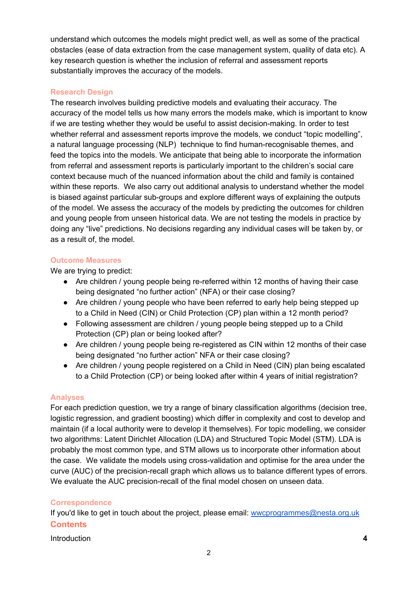understand which outcomes the models might predict well, as well as some of the practical obstacles (ease of data extraction from the case management system, quality of data etc). A key research question is whether the inclusion of referral and assessment reports substantially improves the accuracy of the models.

## **Research Design**

The research involves building predictive models and evaluating their accuracy. The accuracy of the model tells us how many errors the models make, which is important to know if we are testing whether they would be useful to assist decision-making. In order to test whether referral and assessment reports improve the models, we conduct "topic modelling", a natural language processing (NLP) technique to find human-recognisable themes, and feed the topics into the models. We anticipate that being able to incorporate the information from referral and assessment reports is particularly important to the children's social care context because much of the nuanced information about the child and family is contained within these reports. We also carry out additional analysis to understand whether the model is biased against particular sub-groups and explore different ways of explaining the outputs of the model. We assess the accuracy of the models by predicting the outcomes for children and young people from unseen historical data. We are not testing the models in practice by doing any "live" predictions. No decisions regarding any individual cases will be taken by, or as a result of, the model.

## **Outcome Measures**

We are trying to predict:

- Are children / young people being re-referred within 12 months of having their case being designated "no further action" (NFA) or their case closing?
- Are children / young people who have been referred to early help being stepped up to a Child in Need (CIN) or Child Protection (CP) plan within a 12 month period?
- Following assessment are children / young people being stepped up to a Child Protection (CP) plan or being looked after?
- Are children / young people being re-registered as CIN within 12 months of their case being designated "no further action" NFA or their case closing?
- Are children / young people registered on a Child in Need (CIN) plan being escalated to a Child Protection (CP) or being looked after within 4 years of initial registration?

## **Analyses**

For each prediction question, we try a range of binary classification algorithms (decision tree, logistic regression, and gradient boosting) which differ in complexity and cost to develop and maintain (if a local authority were to develop it themselves). For topic modelling, we consider two algorithms: Latent Dirichlet Allocation (LDA) and Structured Topic Model (STM). LDA is probably the most common type, and STM allows us to incorporate other information about the case. We validate the models using cross-validation and optimise for the area under the curve (AUC) of the precision-recall graph which allows us to balance different types of errors. We evaluate the AUC precision-recall of the final model chosen on unseen data.

## **Correspondence**

If you'd like to get in touch about the project, please email: [wwcprogrammes@nesta.org.uk](mailto:wwcprogrammes@nesta.org.uk) **Contents**

[Introduction](#page-3-0) **[4](#page-3-0)**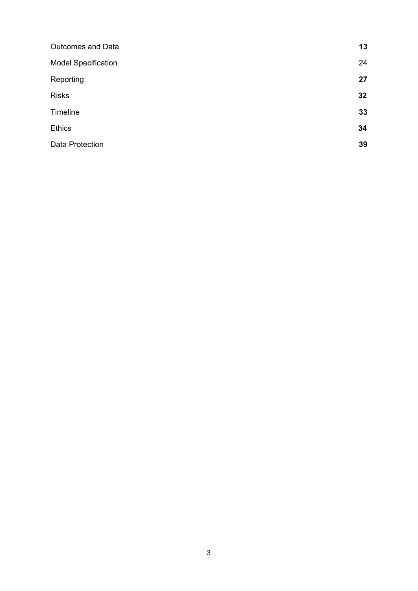| <b>Outcomes and Data</b>   | 13 |
|----------------------------|----|
| <b>Model Specification</b> | 24 |
| Reporting                  | 27 |
| <b>Risks</b>               | 32 |
| Timeline                   | 33 |
| <b>Ethics</b>              | 34 |
| Data Protection            | 39 |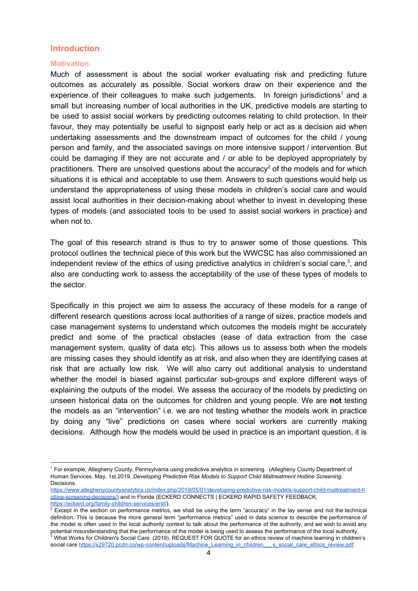#### <span id="page-3-0"></span>**Introduction**

#### **Motivation**

Much of assessment is about the social worker evaluating risk and predicting future outcomes as accurately as possible. Social workers draw on their experience and the experience of their colleagues to make such judgements. In foreign jurisdictions<sup>1</sup> and a small but increasing number of local authorities in the UK, predictive models are starting to be used to assist social workers by predicting outcomes relating to child protection. In their favour, they may potentially be useful to signpost early help or act as a decision aid when undertaking assessments and the downstream impact of outcomes for the child / young person and family, and the associated savings on more intensive support / intervention. But could be damaging if they are not accurate and / or able to be deployed appropriately by practitioners. There are unsolved questions about the accuracy<sup>2</sup> of the models and for which situations it is ethical and acceptable to use them. Answers to such questions would help us understand the appropriateness of using these models in children's social care and would assist local authorities in their decision-making about whether to invest in developing these types of models (and associated tools to be used to assist social workers in practice) and when not to.

The goal of this research strand is thus to try to answer some of those questions. This protocol outlines the technical piece of this work but the WWCSC has also commissioned an independent review of the ethics of using predictive analytics in children's social care,<sup>3</sup>, and also are conducting work to assess the acceptability of the use of these types of models to the sector.

Specifically in this project we aim to assess the accuracy of these models for a range of different research questions across local authorities of a range of sizes, practice models and case management systems to understand which outcomes the models might be accurately predict and some of the practical obstacles (ease of data extraction from the case management system, quality of data etc). This allows us to assess both when the models are missing cases they should identify as at risk, and also when they are identifying cases at risk that are actually low risk. We will also carry out additional analysis to understand whether the model is biased against particular sub-groups and explore different ways of explaining the outputs of the model. We assess the accuracy of the models by predicting on unseen historical data on the outcomes for children and young people. We are **not** testing the models as an "intervention" i.e. we are not testing whether the models work in practice by doing any "live" predictions on cases where social workers are currently making decisions. Although how the models would be used in practice is an important question, it is

<sup>1</sup> For example, Allegheny County, Pennsylvania using predictive analytics in screening. (Allegheny County Department of Human Services. May, 1st 2019. *Developing Predictive Risk Models to Support Child Maltreatment Hotline Screening*. **Decisions** 

[https://www.alleghenycountyanalytics.us/index.php/2019/05/01/developing-predictive-risk-models-support-child-maltreatment-h](https://www.alleghenycountyanalytics.us/index.php/2019/05/01/developing-predictive-risk-models-support-child-maltreatment-hotline-screening-decisions/) [otline-screening-decisions/\)](https://www.alleghenycountyanalytics.us/index.php/2019/05/01/developing-predictive-risk-models-support-child-maltreatment-hotline-screening-decisions/) and in Florida (ECKERD CONNECTS | ECKERD RAPID SAFETY FEEDBACK, <https://eckerd.org/family-children-services/ersf/>).

 $2$  Except in the section on performance metrics, we shall be using the term "accuracy" in the lay sense and not the technical definition. This is because the more general term "performance metrics" used in data science to describe the performance of the model is often used in the local authority context to talk about the performance of the authority, and we wish to avoid any potential misunderstanding that the performance of the model is being used to assess the performance of the local authority.  $3$  What Works for Children's Social Care. (2019). REQUEST FOR QUOTE for an ethics review of machine learning in children's social care [https://s29720.pcdn.co/wp-content/uploads/Machine\\_Learning\\_in\\_children\\_\\_\\_s\\_social\\_care\\_ethics\\_review.pdf](https://s29720.pcdn.co/wp-content/uploads/Machine_Learning_in_children___s_social_care_ethics_review.pdf)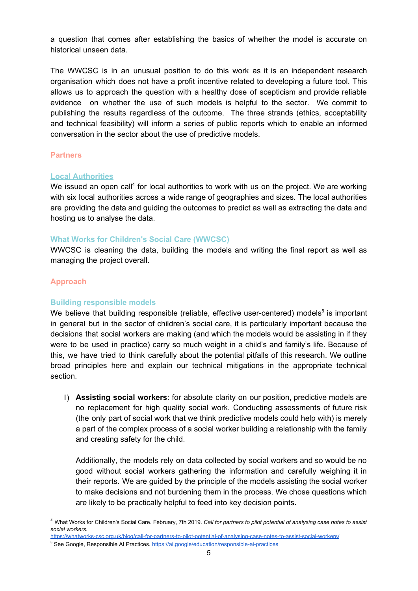a question that comes after establishing the basics of whether the model is accurate on historical unseen data.

The WWCSC is in an unusual position to do this work as it is an independent research organisation which does not have a profit incentive related to developing a future tool. This allows us to approach the question with a healthy dose of scepticism and provide reliable evidence on whether the use of such models is helpful to the sector. We commit to publishing the results regardless of the outcome. The three strands (ethics, acceptability and technical feasibility) will inform a series of public reports which to enable an informed conversation in the sector about the use of predictive models.

### **Partners**

### **Local Authorities**

We issued an open call<sup>4</sup> for local authorities to work with us on the project. We are working with six local authorities across a wide range of geographies and sizes. The local authorities are providing the data and guiding the outcomes to predict as well as extracting the data and hosting us to analyse the data.

### **What Works for Children's Social Care (WWCSC)**

WWCSC is cleaning the data, building the models and writing the final report as well as managing the project overall.

### **Approach**

### **Building responsible models**

We believe that building responsible (reliable, effective user-centered) models<sup>5</sup> is important in general but in the sector of children's social care, it is particularly important because the decisions that social workers are making (and which the models would be assisting in if they were to be used in practice) carry so much weight in a child's and family's life. Because of this, we have tried to think carefully about the potential pitfalls of this research. We outline broad principles here and explain our technical mitigations in the appropriate technical section.

1) **Assisting social workers**: for absolute clarity on our position, predictive models are no replacement for high quality social work. Conducting assessments of future risk (the only part of social work that we think predictive models could help with) is merely a part of the complex process of a social worker building a relationship with the family and creating safety for the child.

Additionally, the models rely on data collected by social workers and so would be no good without social workers gathering the information and carefully weighing it in their reports. We are guided by the principle of the models assisting the social worker to make decisions and not burdening them in the process. We chose questions which are likely to be practically helpful to feed into key decision points.

<https://whatworks-csc.org.uk/blog/call-for-partners-to-pilot-potential-of-analysing-case-notes-to-assist-social-workers/>

<sup>4</sup> What Works for Children's Social Care. February, 7th 2019. *Call for partners to pilot potential of analysing case notes to assist social workers.*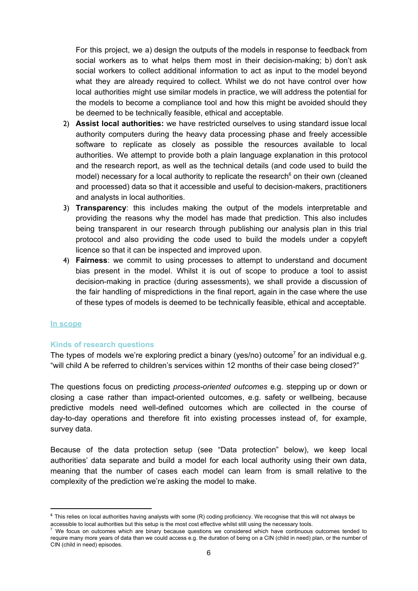For this project, we a) design the outputs of the models in response to feedback from social workers as to what helps them most in their decision-making; b) don't ask social workers to collect additional information to act as input to the model beyond what they are already required to collect. Whilst we do not have control over how local authorities might use similar models in practice, we will address the potential for the models to become a compliance tool and how this might be avoided should they be deemed to be technically feasible, ethical and acceptable.

- 2) **Assist local authorities:** we have restricted ourselves to using standard issue local authority computers during the heavy data processing phase and freely accessible software to replicate as closely as possible the resources available to local authorities. We attempt to provide both a plain language explanation in this protocol and the research report, as well as the technical details (and code used to build the model) necessary for a local authority to replicate the research $6$  on their own (cleaned and processed) data so that it accessible and useful to decision-makers, practitioners and analysts in local authorities.
- 3) **Transparency**: this includes making the output of the models interpretable and providing the reasons why the model has made that prediction. This also includes being transparent in our research through publishing our analysis plan in this trial protocol and also providing the code used to build the models under a copyleft licence so that it can be inspected and improved upon.
- 4) **Fairness**: we commit to using processes to attempt to understand and document bias present in the model. Whilst it is out of scope to produce a tool to assist decision-making in practice (during assessments), we shall provide a discussion of the fair handling of mispredictions in the final report, again in the case where the use of these types of models is deemed to be technically feasible, ethical and acceptable.

#### **In scope**

### **Kinds of research questions**

The types of models we're exploring predict a binary (yes/no) outcome<sup>7</sup> for an individual e.g. "will child A be referred to children's services within 12 months of their case being closed?"

The questions focus on predicting *process-oriented outcomes* e.g. stepping up or down or closing a case rather than impact-oriented outcomes, e.g. safety or wellbeing, because predictive models need well-defined outcomes which are collected in the course of day-to-day operations and therefore fit into existing processes instead of, for example, survey data.

Because of the data protection setup (see "Data protection" below), we keep local authorities' data separate and build a model for each local authority using their own data, meaning that the number of cases each model can learn from is small relative to the complexity of the prediction we're asking the model to make.

<sup>&</sup>lt;sup>6</sup> This relies on local authorities having analysts with some (R) coding proficiency. We recognise that this will not always be accessible to local authorities but this setup is the most cost effective whilst still using the necessary tools.

 $7$  We focus on outcomes which are binary because questions we considered which have continuous outcomes tended to require many more years of data than we could access e.g. the duration of being on a CIN (child in need) plan, or the number of CIN (child in need) episodes.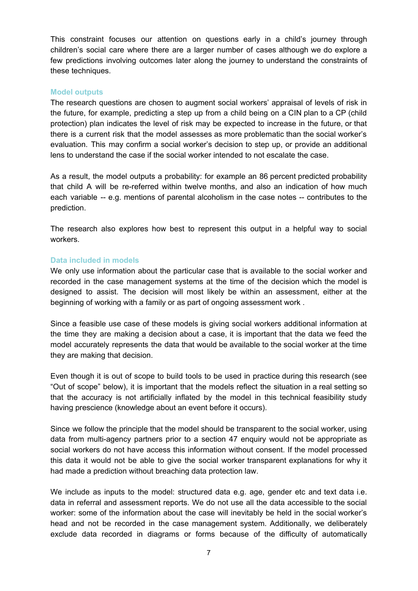This constraint focuses our attention on questions early in a child's journey through children's social care where there are a larger number of cases although we do explore a few predictions involving outcomes later along the journey to understand the constraints of these techniques.

### **Model outputs**

The research questions are chosen to augment social workers' appraisal of levels of risk in the future, for example, predicting a step up from a child being on a CIN plan to a CP (child protection) plan indicates the level of risk may be expected to increase in the future, or that there is a current risk that the model assesses as more problematic than the social worker's evaluation. This may confirm a social worker's decision to step up, or provide an additional lens to understand the case if the social worker intended to not escalate the case.

As a result, the model outputs a probability: for example an 86 percent predicted probability that child A will be re-referred within twelve months, and also an indication of how much each variable -- e.g. mentions of parental alcoholism in the case notes -- contributes to the prediction.

The research also explores how best to represent this output in a helpful way to social workers.

### **Data included in models**

We only use information about the particular case that is available to the social worker and recorded in the case management systems at the time of the decision which the model is designed to assist. The decision will most likely be within an assessment, either at the beginning of working with a family or as part of ongoing assessment work .

Since a feasible use case of these models is giving social workers additional information at the time they are making a decision about a case, it is important that the data we feed the model accurately represents the data that would be available to the social worker at the time they are making that decision.

Even though it is out of scope to build tools to be used in practice during this research (see "Out of scope" below), it is important that the models reflect the situation in a real setting so that the accuracy is not artificially inflated by the model in this technical feasibility study having prescience (knowledge about an event before it occurs).

Since we follow the principle that the model should be transparent to the social worker, using data from multi-agency partners prior to a section 47 enquiry would not be appropriate as social workers do not have access this information without consent. If the model processed this data it would not be able to give the social worker transparent explanations for why it had made a prediction without breaching data protection law.

We include as inputs to the model: structured data e.g. age, gender etc and text data i.e. data in referral and assessment reports. We do not use all the data accessible to the social worker: some of the information about the case will inevitably be held in the social worker's head and not be recorded in the case management system. Additionally, we deliberately exclude data recorded in diagrams or forms because of the difficulty of automatically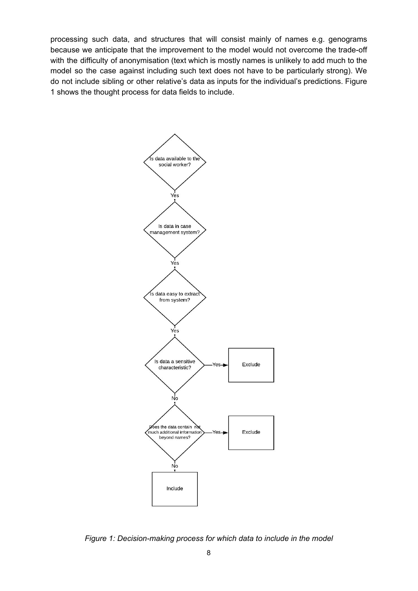processing such data, and structures that will consist mainly of names e.g. genograms because we anticipate that the improvement to the model would not overcome the trade-off with the difficulty of anonymisation (text which is mostly names is unlikely to add much to the model so the case against including such text does not have to be particularly strong). We do not include sibling or other relative's data as inputs for the individual's predictions. Figure 1 shows the thought process for data fields to include.



*Figure 1: Decision-making process for which data to include in the model*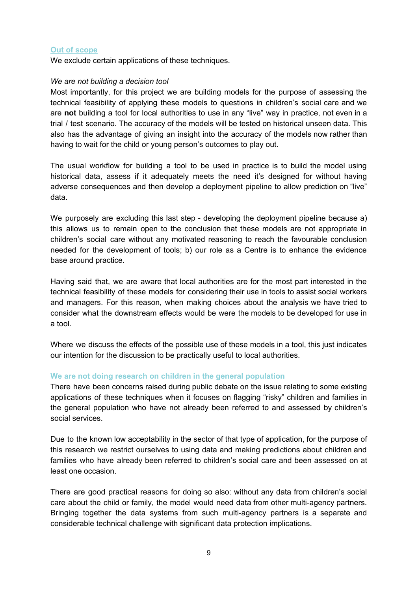#### **Out of scope**

We exclude certain applications of these techniques.

#### *We are not building a decision tool*

Most importantly, for this project we are building models for the purpose of assessing the technical feasibility of applying these models to questions in children's social care and we are **not** building a tool for local authorities to use in any "live" way in practice, not even in a trial / test scenario. The accuracy of the models will be tested on historical unseen data. This also has the advantage of giving an insight into the accuracy of the models now rather than having to wait for the child or young person's outcomes to play out.

The usual workflow for building a tool to be used in practice is to build the model using historical data, assess if it adequately meets the need it's designed for without having adverse consequences and then develop a deployment pipeline to allow prediction on "live" data.

We purposely are excluding this last step - developing the deployment pipeline because a) this allows us to remain open to the conclusion that these models are not appropriate in children's social care without any motivated reasoning to reach the favourable conclusion needed for the development of tools; b) our role as a Centre is to enhance the evidence base around practice.

Having said that, we are aware that local authorities are for the most part interested in the technical feasibility of these models for considering their use in tools to assist social workers and managers. For this reason, when making choices about the analysis we have tried to consider what the downstream effects would be were the models to be developed for use in a tool.

Where we discuss the effects of the possible use of these models in a tool, this just indicates our intention for the discussion to be practically useful to local authorities.

#### **We are not doing research on children in the general population**

There have been concerns raised during public debate on the issue relating to some existing applications of these techniques when it focuses on flagging "risky" children and families in the general population who have not already been referred to and assessed by children's social services.

Due to the known low acceptability in the sector of that type of application, for the purpose of this research we restrict ourselves to using data and making predictions about children and families who have already been referred to children's social care and been assessed on at least one occasion.

There are good practical reasons for doing so also: without any data from children's social care about the child or family, the model would need data from other multi-agency partners. Bringing together the data systems from such multi-agency partners is a separate and considerable technical challenge with significant data protection implications.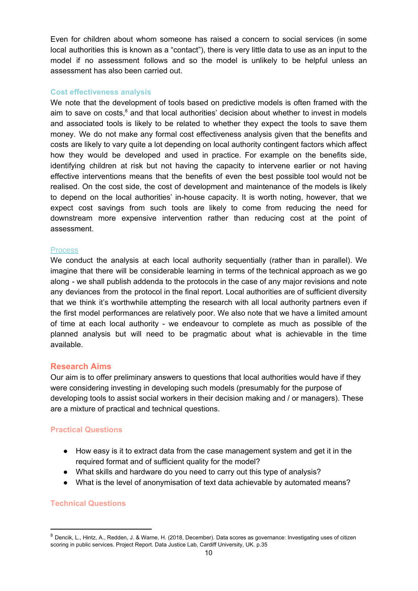Even for children about whom someone has raised a concern to social services (in some local authorities this is known as a "contact"), there is very little data to use as an input to the model if no assessment follows and so the model is unlikely to be helpful unless an assessment has also been carried out.

### **Cost effectiveness analysis**

We note that the development of tools based on predictive models is often framed with the aim to save on costs, ${}^{8}$  and that local authorities' decision about whether to invest in models and associated tools is likely to be related to whether they expect the tools to save them money. We do not make any formal cost effectiveness analysis given that the benefits and costs are likely to vary quite a lot depending on local authority contingent factors which affect how they would be developed and used in practice. For example on the benefits side, identifying children at risk but not having the capacity to intervene earlier or not having effective interventions means that the benefits of even the best possible tool would not be realised. On the cost side, the cost of development and maintenance of the models is likely to depend on the local authorities' in-house capacity. It is worth noting, however, that we expect cost savings from such tools are likely to come from reducing the need for downstream more expensive intervention rather than reducing cost at the point of assessment.

### Process

We conduct the analysis at each local authority sequentially (rather than in parallel). We imagine that there will be considerable learning in terms of the technical approach as we go along - we shall publish addenda to the protocols in the case of any major revisions and note any deviances from the protocol in the final report. Local authorities are of sufficient diversity that we think it's worthwhile attempting the research with all local authority partners even if the first model performances are relatively poor. We also note that we have a limited amount of time at each local authority - we endeavour to complete as much as possible of the planned analysis but will need to be pragmatic about what is achievable in the time available.

## **Research Aims**

Our aim is to offer preliminary answers to questions that local authorities would have if they were considering investing in developing such models (presumably for the purpose of developing tools to assist social workers in their decision making and / or managers). These are a mixture of practical and technical questions.

## **Practical Questions**

- How easy is it to extract data from the case management system and get it in the required format and of sufficient quality for the model?
- What skills and hardware do you need to carry out this type of analysis?
- What is the level of anonymisation of text data achievable by automated means?

## **Technical Questions**

<sup>8</sup> Dencik, L., Hintz, A., Redden, J. & Warne, H. (2018, December). Data scores as governance: Investigating uses of citizen scoring in public services. Project Report. Data Justice Lab, Cardiff University, UK. p.35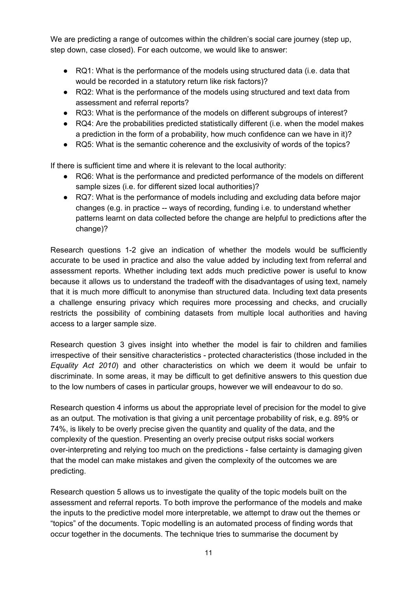We are predicting a range of outcomes within the children's social care journey (step up, step down, case closed). For each outcome, we would like to answer:

- RQ1: What is the performance of the models using structured data (i.e. data that would be recorded in a statutory return like risk factors)?
- RQ2: What is the performance of the models using structured and text data from assessment and referral reports?
- RQ3: What is the performance of the models on different subgroups of interest?
- RQ4: Are the probabilities predicted statistically different (i.e. when the model makes a prediction in the form of a probability, how much confidence can we have in it)?
- RQ5: What is the semantic coherence and the exclusivity of words of the topics?

If there is sufficient time and where it is relevant to the local authority:

- RQ6: What is the performance and predicted performance of the models on different sample sizes (i.e. for different sized local authorities)?
- RQ7: What is the performance of models including and excluding data before major changes (e.g. in practice -- ways of recording, funding i.e. to understand whether patterns learnt on data collected before the change are helpful to predictions after the change)?

Research questions 1-2 give an indication of whether the models would be sufficiently accurate to be used in practice and also the value added by including text from referral and assessment reports. Whether including text adds much predictive power is useful to know because it allows us to understand the tradeoff with the disadvantages of using text, namely that it is much more difficult to anonymise than structured data. Including text data presents a challenge ensuring privacy which requires more processing and checks, and crucially restricts the possibility of combining datasets from multiple local authorities and having access to a larger sample size.

Research question 3 gives insight into whether the model is fair to children and families irrespective of their sensitive characteristics - protected characteristics (those included in the *Equality Act 2010*) and other characteristics on which we deem it would be unfair to discriminate. In some areas, it may be difficult to get definitive answers to this question due to the low numbers of cases in particular groups, however we will endeavour to do so.

Research question 4 informs us about the appropriate level of precision for the model to give as an output. The motivation is that giving a unit percentage probability of risk, e.g. 89% or 74%, is likely to be overly precise given the quantity and quality of the data, and the complexity of the question. Presenting an overly precise output risks social workers over-interpreting and relying too much on the predictions - false certainty is damaging given that the model can make mistakes and given the complexity of the outcomes we are predicting.

Research question 5 allows us to investigate the quality of the topic models built on the assessment and referral reports. To both improve the performance of the models and make the inputs to the predictive model more interpretable, we attempt to draw out the themes or "topics" of the documents. Topic modelling is an automated process of finding words that occur together in the documents. The technique tries to summarise the document by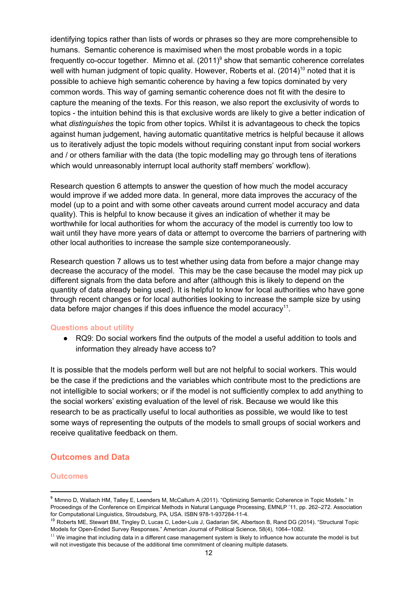identifying topics rather than lists of words or phrases so they are more comprehensible to humans. Semantic coherence is maximised when the most probable words in a topic frequently co-occur together. Mimno et al.  $(2011)^9$  show that semantic coherence correlates well with human judgment of topic quality. However, Roberts et al.  $(2014)^{10}$  noted that it is possible to achieve high semantic coherence by having a few topics dominated by very common words. This way of gaming semantic coherence does not fit with the desire to capture the meaning of the texts. For this reason, we also report the exclusivity of words to topics - the intuition behind this is that exclusive words are likely to give a better indication of what *distinguishes* the topic from other topics. Whilst it is advantageous to check the topics against human judgement, having automatic quantitative metrics is helpful because it allows us to iteratively adjust the topic models without requiring constant input from social workers and / or others familiar with the data (the topic modelling may go through tens of iterations which would unreasonably interrupt local authority staff members' workflow).

Research question 6 attempts to answer the question of how much the model accuracy would improve if we added more data. In general, more data improves the accuracy of the model (up to a point and with some other caveats around current model accuracy and data quality). This is helpful to know because it gives an indication of whether it may be worthwhile for local authorities for whom the accuracy of the model is currently too low to wait until they have more years of data or attempt to overcome the barriers of partnering with other local authorities to increase the sample size contemporaneously.

Research question 7 allows us to test whether using data from before a major change may decrease the accuracy of the model. This may be the case because the model may pick up different signals from the data before and after (although this is likely to depend on the quantity of data already being used). It is helpful to know for local authorities who have gone through recent changes or for local authorities looking to increase the sample size by using data before major changes if this does influence the model accuracy<sup>11</sup>.

#### **Questions about utility**

RQ9: Do social workers find the outputs of the model a useful addition to tools and information they already have access to?

It is possible that the models perform well but are not helpful to social workers. This would be the case if the predictions and the variables which contribute most to the predictions are not intelligible to social workers; or if the model is not sufficiently complex to add anything to the social workers' existing evaluation of the level of risk. Because we would like this research to be as practically useful to local authorities as possible, we would like to test some ways of representing the outputs of the models to small groups of social workers and receive qualitative feedback on them.

## <span id="page-11-0"></span>**Outcomes and Data**

#### **Outcomes**

<sup>9</sup> Mimno D, Wallach HM, Talley E, Leenders M, McCallum A (2011). "Optimizing Semantic Coherence in Topic Models." In Proceedings of the Conference on Empirical Methods in Natural Language Processing, EMNLP '11, pp. 262–272. Association for Computational Linguistics, Stroudsburg, PA, USA. ISBN 978-1-937284-11-4.

<sup>&</sup>lt;sup>10</sup> Roberts ME, Stewart BM, Tingley D, Lucas C, Leder-Luis J, Gadarian SK, Albertson B, Rand DG (2014). "Structural Topic Models for Open-Ended Survey Responses." American Journal of Political Science, 58(4), 1064–1082.

 $11$  We imagine that including data in a different case management system is likely to influence how accurate the model is but will not investigate this because of the additional time commitment of cleaning multiple datasets.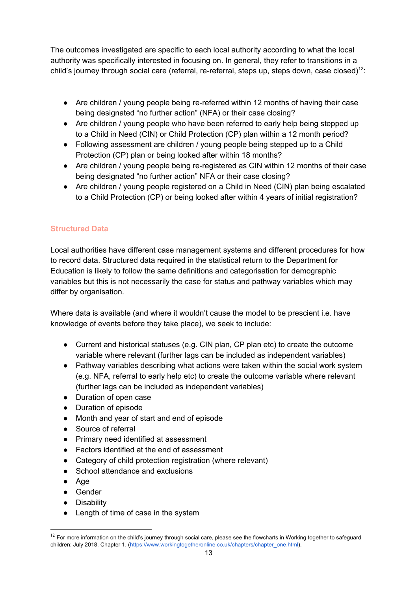The outcomes investigated are specific to each local authority according to what the local authority was specifically interested in focusing on. In general, they refer to transitions in a child's journey through social care (referral, re-referral, steps up, steps down, case closed)<sup>12</sup>:

- Are children / young people being re-referred within 12 months of having their case being designated "no further action" (NFA) or their case closing?
- Are children / young people who have been referred to early help being stepped up to a Child in Need (CIN) or Child Protection (CP) plan within a 12 month period?
- Following assessment are children / young people being stepped up to a Child Protection (CP) plan or being looked after within 18 months?
- Are children / young people being re-registered as CIN within 12 months of their case being designated "no further action" NFA or their case closing?
- Are children / young people registered on a Child in Need (CIN) plan being escalated to a Child Protection (CP) or being looked after within 4 years of initial registration?

## **Structured Data**

Local authorities have different case management systems and different procedures for how to record data. Structured data required in the statistical return to the Department for Education is likely to follow the same definitions and categorisation for demographic variables but this is not necessarily the case for status and pathway variables which may differ by organisation.

Where data is available (and where it wouldn't cause the model to be prescient i.e. have knowledge of events before they take place), we seek to include:

- Current and historical statuses (e.g. CIN plan, CP plan etc) to create the outcome variable where relevant (further lags can be included as independent variables)
- Pathway variables describing what actions were taken within the social work system (e.g. NFA, referral to early help etc) to create the outcome variable where relevant (further lags can be included as independent variables)
- Duration of open case
- Duration of episode
- Month and year of start and end of episode
- Source of referral
- Primary need identified at assessment
- Factors identified at the end of assessment
- Category of child protection registration (where relevant)
- School attendance and exclusions
- Age
- Gender
- Disability
- Length of time of case in the system

<sup>&</sup>lt;sup>12</sup> For more information on the child's journey through social care, please see the flowcharts in Working together to safeguard children: July 2018. Chapter 1. [\(https://www.workingtogetheronline.co.uk/chapters/chapter\\_one.html\)](https://www.workingtogetheronline.co.uk/chapters/chapter_one.html).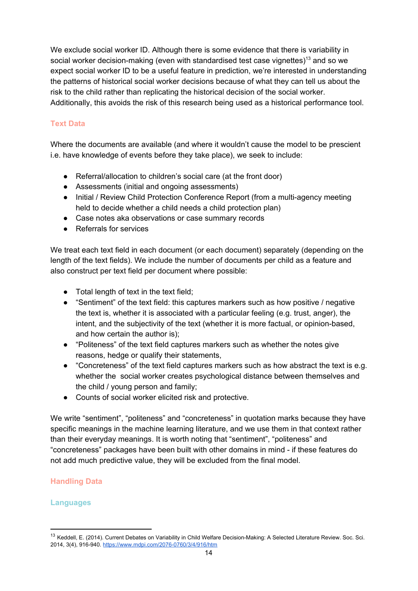We exclude social worker ID. Although there is some evidence that there is variability in social worker decision-making (even with standardised test case vignettes)<sup>13</sup> and so we expect social worker ID to be a useful feature in prediction, we're interested in understanding the patterns of historical social worker decisions because of what they can tell us about the risk to the child rather than replicating the historical decision of the social worker. Additionally, this avoids the risk of this research being used as a historical performance tool.

# **Text Data**

Where the documents are available (and where it wouldn't cause the model to be prescient i.e. have knowledge of events before they take place), we seek to include:

- Referral/allocation to children's social care (at the front door)
- Assessments (initial and ongoing assessments)
- Initial / Review Child Protection Conference Report (from a multi-agency meeting held to decide whether a child needs a child protection plan)
- Case notes aka observations or case summary records
- Referrals for services

We treat each text field in each document (or each document) separately (depending on the length of the text fields). We include the number of documents per child as a feature and also construct per text field per document where possible:

- Total length of text in the text field;
- "Sentiment" of the text field: this captures markers such as how positive / negative the text is, whether it is associated with a particular feeling (e.g. trust, anger), the intent, and the subjectivity of the text (whether it is more factual, or opinion-based, and how certain the author is);
- "Politeness" of the text field captures markers such as whether the notes give reasons, hedge or qualify their statements,
- "Concreteness" of the text field captures markers such as how abstract the text is e.g. whether the social worker creates psychological distance between themselves and the child / young person and family;
- Counts of social worker elicited risk and protective.

We write "sentiment", "politeness" and "concreteness" in quotation marks because they have specific meanings in the machine learning literature, and we use them in that context rather than their everyday meanings. It is worth noting that "sentiment", "politeness" and "concreteness" packages have been built with other domains in mind - if these features do not add much predictive value, they will be excluded from the final model.

## **Handling Data**

## **Languages**

<sup>&</sup>lt;sup>13</sup> Keddell, E. (2014). Current Debates on Variability in Child Welfare Decision-Making: A Selected Literature Review. Soc. Sci. 2014, 3(4), 916-940. <https://www.mdpi.com/2076-0760/3/4/916/htm>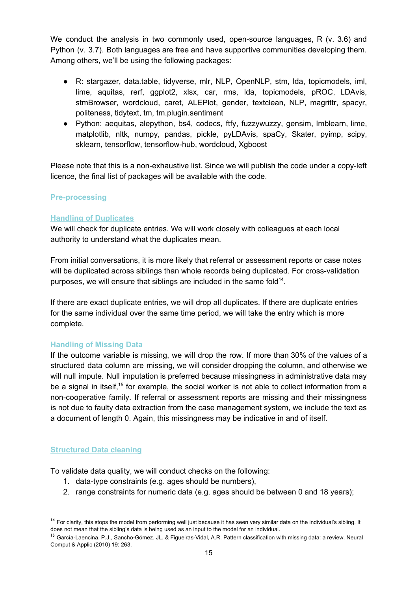We conduct the analysis in two commonly used, open-source languages, R (v. 3.6) and Python (v. 3.7). Both languages are free and have supportive communities developing them. Among others, we'll be using the following packages:

- R: stargazer, data.table, tidyverse, mlr, NLP, OpenNLP, stm, lda, topicmodels, iml, lime, aquitas, rerf, ggplot2, xlsx, car, rms, lda, topicmodels, pROC, LDAvis, stmBrowser, wordcloud, caret, ALEPlot, gender, textclean, NLP, magrittr, spacyr, politeness, tidytext, tm, tm.plugin.sentiment
- Python: aequitas, alepython, bs4, codecs, ftfy, fuzzywuzzy, gensim, Imblearn, lime, matplotlib, nltk, numpy, pandas, pickle, pyLDAvis, spaCy, Skater, pyimp, scipy, sklearn, tensorflow, tensorflow-hub, wordcloud, Xgboost

Please note that this is a non-exhaustive list. Since we will publish the code under a copy-left licence, the final list of packages will be available with the code.

## **Pre-processing**

## **Handling of Duplicates**

We will check for duplicate entries. We will work closely with colleagues at each local authority to understand what the duplicates mean.

From initial conversations, it is more likely that referral or assessment reports or case notes will be duplicated across siblings than whole records being duplicated. For cross-validation purposes, we will ensure that siblings are included in the same fold $14$ .

If there are exact duplicate entries, we will drop all duplicates. If there are duplicate entries for the same individual over the same time period, we will take the entry which is more complete.

### **Handling of Missing Data**

If the outcome variable is missing, we will drop the row. If more than 30% of the values of a structured data column are missing, we will consider dropping the column, and otherwise we will null impute. Null imputation is preferred because missingness in administrative data may be a signal in itself,<sup>15</sup> for example, the social worker is not able to collect information from a non-cooperative family. If referral or assessment reports are missing and their missingness is not due to faulty data extraction from the case management system, we include the text as a document of length 0. Again, this missingness may be indicative in and of itself.

## **Structured Data cleaning**

To validate data quality, we will conduct checks on the following:

- 1. data-type constraints (e.g. ages should be numbers),
- 2. range constraints for numeric data (e.g. ages should be between 0 and 18 years);

<sup>&</sup>lt;sup>14</sup> For clarity, this stops the model from performing well just because it has seen very similar data on the individual's sibling. It does not mean that the sibling's data is being used as an input to the model for an individual.

<sup>15</sup> García-Laencina, P.J., Sancho-Gómez, JL. & Figueiras-Vidal, A.R. Pattern classification with missing data: a review. Neural Comput & Applic (2010) 19: 263.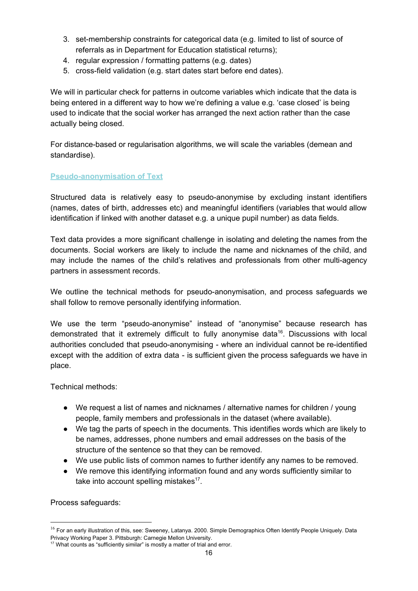- 3. set-membership constraints for categorical data (e.g. limited to list of source of referrals as in Department for Education statistical returns);
- 4. regular expression / formatting patterns (e.g. dates)
- 5. cross-field validation (e.g. start dates start before end dates).

We will in particular check for patterns in outcome variables which indicate that the data is being entered in a different way to how we're defining a value e.g. 'case closed' is being used to indicate that the social worker has arranged the next action rather than the case actually being closed.

For distance-based or regularisation algorithms, we will scale the variables (demean and standardise).

## **Pseudo-anonymisation of Text**

Structured data is relatively easy to pseudo-anonymise by excluding instant identifiers (names, dates of birth, addresses etc) and meaningful identifiers (variables that would allow identification if linked with another dataset e.g. a unique pupil number) as data fields.

Text data provides a more significant challenge in isolating and deleting the names from the documents. Social workers are likely to include the name and nicknames of the child, and may include the names of the child's relatives and professionals from other multi-agency partners in assessment records.

We outline the technical methods for pseudo-anonymisation, and process safeguards we shall follow to remove personally identifying information.

We use the term "pseudo-anonymise" instead of "anonymise" because research has demonstrated that it extremely difficult to fully anonymise data<sup>16</sup>. Discussions with local authorities concluded that pseudo-anonymising - where an individual cannot be re-identified except with the addition of extra data - is sufficient given the process safeguards we have in place.

Technical methods:

- We request a list of names and nicknames / alternative names for children / young people, family members and professionals in the dataset (where available).
- We tag the parts of speech in the documents. This identifies words which are likely to be names, addresses, phone numbers and email addresses on the basis of the structure of the sentence so that they can be removed.
- We use public lists of common names to further identify any names to be removed.
- We remove this identifying information found and any words sufficiently similar to take into account spelling mistakes $17$ .

Process safeguards:

<sup>&</sup>lt;sup>16</sup> For an early illustration of this, see: Sweeney, Latanya. 2000. Simple Demographics Often Identify People Uniquely. Data Privacy Working Paper 3. Pittsburgh: Carnegie Mellon University.

 $17$  What counts as "sufficiently similar" is mostly a matter of trial and error.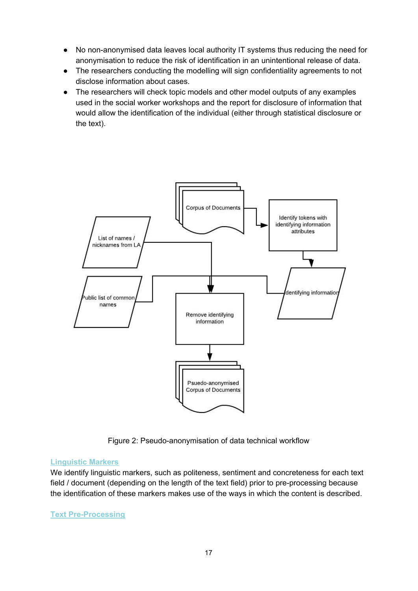- No non-anonymised data leaves local authority IT systems thus reducing the need for anonymisation to reduce the risk of identification in an unintentional release of data.
- The researchers conducting the modelling will sign confidentiality agreements to not disclose information about cases.
- The researchers will check topic models and other model outputs of any examples used in the social worker workshops and the report for disclosure of information that would allow the identification of the individual (either through statistical disclosure or the text).



Figure 2: Pseudo-anonymisation of data technical workflow

## **Linguistic Markers**

We identify linguistic markers, such as politeness, sentiment and concreteness for each text field / document (depending on the length of the text field) prior to pre-processing because the identification of these markers makes use of the ways in which the content is described.

### **Text Pre-Processing**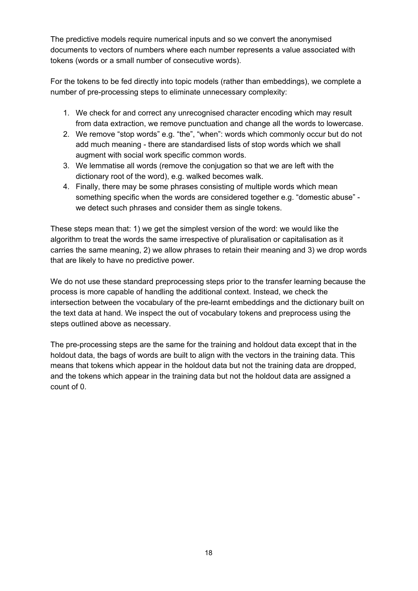The predictive models require numerical inputs and so we convert the anonymised documents to vectors of numbers where each number represents a value associated with tokens (words or a small number of consecutive words).

For the tokens to be fed directly into topic models (rather than embeddings), we complete a number of pre-processing steps to eliminate unnecessary complexity:

- 1. We check for and correct any unrecognised character encoding which may result from data extraction, we remove punctuation and change all the words to lowercase.
- 2. We remove "stop words" e.g. "the", "when": words which commonly occur but do not add much meaning - there are standardised lists of stop words which we shall augment with social work specific common words.
- 3. We lemmatise all words (remove the conjugation so that we are left with the dictionary root of the word), e.g. walked becomes walk.
- 4. Finally, there may be some phrases consisting of multiple words which mean something specific when the words are considered together e.g. "domestic abuse" we detect such phrases and consider them as single tokens.

These steps mean that: 1) we get the simplest version of the word: we would like the algorithm to treat the words the same irrespective of pluralisation or capitalisation as it carries the same meaning, 2) we allow phrases to retain their meaning and 3) we drop words that are likely to have no predictive power.

We do not use these standard preprocessing steps prior to the transfer learning because the process is more capable of handling the additional context. Instead, we check the intersection between the vocabulary of the pre-learnt embeddings and the dictionary built on the text data at hand. We inspect the out of vocabulary tokens and preprocess using the steps outlined above as necessary.

The pre-processing steps are the same for the training and holdout data except that in the holdout data, the bags of words are built to align with the vectors in the training data. This means that tokens which appear in the holdout data but not the training data are dropped, and the tokens which appear in the training data but not the holdout data are assigned a count of 0.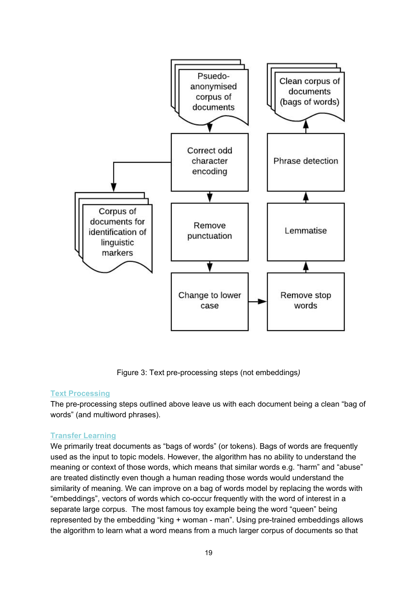

Figure 3: Text pre-processing steps (not embeddings*)*

### **Text Processing**

The pre-processing steps outlined above leave us with each document being a clean "bag of words" (and multiword phrases).

## **Transfer Learning**

We primarily treat documents as "bags of words" (or tokens). Bags of words are frequently used as the input to topic models. However, the algorithm has no ability to understand the meaning or context of those words, which means that similar words e.g. "harm" and "abuse" are treated distinctly even though a human reading those words would understand the similarity of meaning. We can improve on a bag of words model by replacing the words with "embeddings", vectors of words which co-occur frequently with the word of interest in a separate large corpus. The most famous toy example being the word "queen" being represented by the embedding "king + woman - man". Using pre-trained embeddings allows the algorithm to learn what a word means from a much larger corpus of documents so that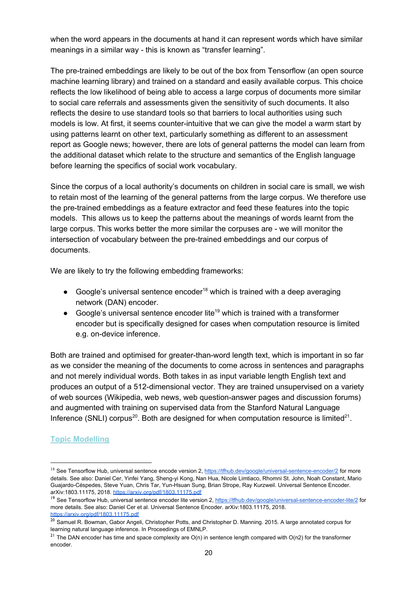when the word appears in the documents at hand it can represent words which have similar meanings in a similar way - this is known as "transfer learning".

The pre-trained embeddings are likely to be out of the box from Tensorflow (an open source machine learning library) and trained on a standard and easily available corpus. This choice reflects the low likelihood of being able to access a large corpus of documents more similar to social care referrals and assessments given the sensitivity of such documents. It also reflects the desire to use standard tools so that barriers to local authorities using such models is low. At first, it seems counter-intuitive that we can give the model a warm start by using patterns learnt on other text, particularly something as different to an assessment report as Google news; however, there are lots of general patterns the model can learn from the additional dataset which relate to the structure and semantics of the English language before learning the specifics of social work vocabulary.

Since the corpus of a local authority's documents on children in social care is small, we wish to retain most of the learning of the general patterns from the large corpus. We therefore use the pre-trained embeddings as a feature extractor and feed these features into the topic models. This allows us to keep the patterns about the meanings of words learnt from the large corpus. This works better the more similar the corpuses are - we will monitor the intersection of vocabulary between the pre-trained embeddings and our corpus of documents.

We are likely to try the following embedding frameworks:

- Google's universal sentence encoder<sup>18</sup> which is trained with a deep averaging network (DAN) encoder.
- $\bullet$  Google's universal sentence encoder lite<sup>19</sup> which is trained with a transformer encoder but is specifically designed for cases when computation resource is limited e.g. on-device inference.

Both are trained and optimised for greater-than-word length text, which is important in so far as we consider the meaning of the documents to come across in sentences and paragraphs and not merely individual words. Both takes in as input variable length English text and produces an output of a 512-dimensional vector. They are trained unsupervised on a variety of web sources (Wikipedia, web news, web question-answer pages and discussion forums) and augmented with training on supervised data from the Stanford Natural Language Inference (SNLI) corpus<sup>20</sup>. Both are designed for when computation resource is limited<sup>21</sup>.

## **Topic Modelling**

<sup>&</sup>lt;sup>18</sup> See Tensorflow Hub, universal sentence encode version 2, <https://tfhub.dev/google/universal-sentence-encoder/2> for more details. See also: Daniel Cer, Yinfei Yang, Sheng-yi Kong, Nan Hua, Nicole Limtiaco, Rhomni St. John, Noah Constant, Mario Guajardo-Céspedes, Steve Yuan, Chris Tar, Yun-Hsuan Sung, Brian Strope, Ray Kurzweil. Universal Sentence Encoder. arXiv:1803.11175, 2018. <https://arxiv.org/pdf/1803.11175.pdf>

<sup>&</sup>lt;sup>19</sup> See Tensorflow Hub, universal sentence encoder lite version 2, <https://tfhub.dev/google/universal-sentence-encoder-lite/2> for more details. See also: Daniel Cer et al. Universal Sentence Encoder. arXiv:1803.11175, 2018. <https://arxiv.org/pdf/1803.11175.pdf>

<sup>&</sup>lt;sup>20</sup> Samuel R. Bowman, Gabor Angeli, Christopher Potts, and Christopher D. Manning. 2015. A large annotated corpus for learning natural language inference. In Proceedings of EMNLP.

<sup>&</sup>lt;sup>21</sup> The DAN encoder has time and space complexity are  $O(n)$  in sentence length compared with  $O(n2)$  for the transformer encoder.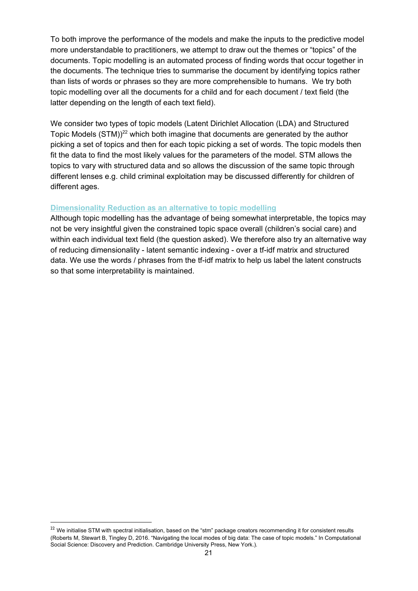To both improve the performance of the models and make the inputs to the predictive model more understandable to practitioners, we attempt to draw out the themes or "topics" of the documents. Topic modelling is an automated process of finding words that occur together in the documents. The technique tries to summarise the document by identifying topics rather than lists of words or phrases so they are more comprehensible to humans. We try both topic modelling over all the documents for a child and for each document / text field (the latter depending on the length of each text field).

We consider two types of topic models (Latent Dirichlet Allocation (LDA) and Structured Topic Models  $(STM))^{22}$  which both imagine that documents are generated by the author picking a set of topics and then for each topic picking a set of words. The topic models then fit the data to find the most likely values for the parameters of the model. STM allows the topics to vary with structured data and so allows the discussion of the same topic through different lenses e.g. child criminal exploitation may be discussed differently for children of different ages.

### **Dimensionality Reduction as an alternative to topic modelling**

Although topic modelling has the advantage of being somewhat interpretable, the topics may not be very insightful given the constrained topic space overall (children's social care) and within each individual text field (the question asked). We therefore also try an alternative way of reducing dimensionality - latent semantic indexing - over a tf-idf matrix and structured data. We use the words / phrases from the tf-idf matrix to help us label the latent constructs so that some interpretability is maintained.

<sup>&</sup>lt;sup>22</sup> We initialise STM with spectral initialisation, based on the "stm" package creators recommending it for consistent results (Roberts M, Stewart B, Tingley D, 2016. "Navigating the local modes of big data: The case of topic models." In Computational Social Science: Discovery and Prediction. Cambridge University Press, New York.).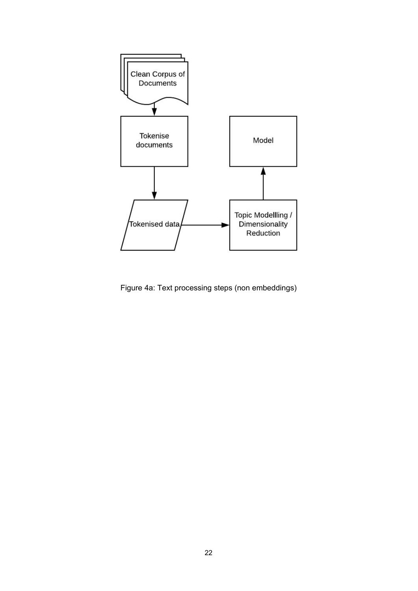

Figure 4a: Text processing steps (non embeddings)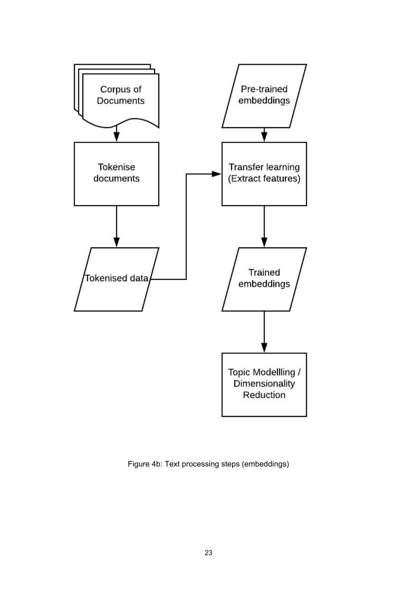

Figure 4b: Text processing steps (embeddings)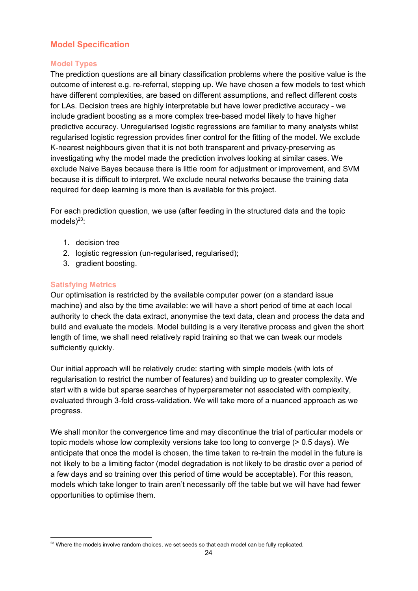# <span id="page-23-0"></span>**Model Specification**

### **Model Types**

The prediction questions are all binary classification problems where the positive value is the outcome of interest e.g. re-referral, stepping up. We have chosen a few models to test which have different complexities, are based on different assumptions, and reflect different costs for LAs. Decision trees are highly interpretable but have lower predictive accuracy - we include gradient boosting as a more complex tree-based model likely to have higher predictive accuracy. Unregularised logistic regressions are familiar to many analysts whilst regularised logistic regression provides finer control for the fitting of the model. We exclude K-nearest neighbours given that it is not both transparent and privacy-preserving as investigating why the model made the prediction involves looking at similar cases. We exclude Naive Bayes because there is little room for adjustment or improvement, and SVM because it is difficult to interpret. We exclude neural networks because the training data required for deep learning is more than is available for this project.

For each prediction question, we use (after feeding in the structured data and the topic models $)^{23}$ :

- 1. decision tree
- 2. logistic regression (un-regularised, regularised);
- 3. gradient boosting.

### **Satisfying Metrics**

Our optimisation is restricted by the available computer power (on a standard issue machine) and also by the time available: we will have a short period of time at each local authority to check the data extract, anonymise the text data, clean and process the data and build and evaluate the models. Model building is a very iterative process and given the short length of time, we shall need relatively rapid training so that we can tweak our models sufficiently quickly.

Our initial approach will be relatively crude: starting with simple models (with lots of regularisation to restrict the number of features) and building up to greater complexity. We start with a wide but sparse searches of hyperparameter not associated with complexity, evaluated through 3-fold cross-validation. We will take more of a nuanced approach as we progress.

We shall monitor the convergence time and may discontinue the trial of particular models or topic models whose low complexity versions take too long to converge (> 0.5 days). We anticipate that once the model is chosen, the time taken to re-train the model in the future is not likely to be a limiting factor (model degradation is not likely to be drastic over a period of a few days and so training over this period of time would be acceptable). For this reason, models which take longer to train aren't necessarily off the table but we will have had fewer opportunities to optimise them.

<sup>&</sup>lt;sup>23</sup> Where the models involve random choices, we set seeds so that each model can be fully replicated.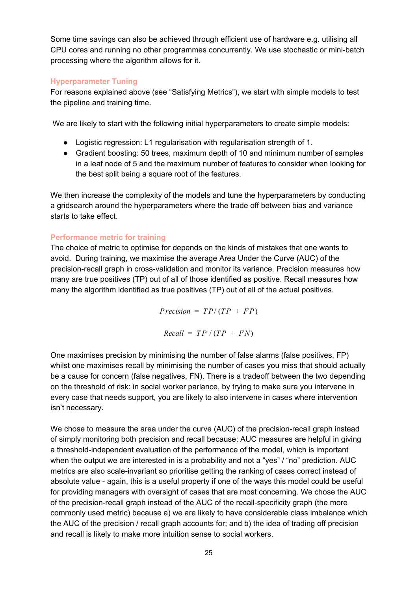Some time savings can also be achieved through efficient use of hardware e.g. utilising all CPU cores and running no other programmes concurrently. We use stochastic or mini-batch processing where the algorithm allows for it.

## **Hyperparameter Tuning**

For reasons explained above (see "Satisfying Metrics"), we start with simple models to test the pipeline and training time.

We are likely to start with the following initial hyperparameters to create simple models:

- Logistic regression: L1 regularisation with regularisation strength of 1.
- Gradient boosting: 50 trees, maximum depth of 10 and minimum number of samples in a leaf node of 5 and the maximum number of features to consider when looking for the best split being a square root of the features.

We then increase the complexity of the models and tune the hyperparameters by conducting a gridsearch around the hyperparameters where the trade off between bias and variance starts to take effect.

## **Performance metric for training**

The choice of metric to optimise for depends on the kinds of mistakes that one wants to avoid. During training, we maximise the average Area Under the Curve (AUC) of the precision-recall graph in cross-validation and monitor its variance. Precision measures how many are true positives (TP) out of all of those identified as positive. Recall measures how many the algorithm identified as true positives (TP) out of all of the actual positives.

 $Precision = TP/(TP + FP)$ 

 $Recall = TP / (TP + FN)$ 

One maximises precision by minimising the number of false alarms (false positives, FP) whilst one maximises recall by minimising the number of cases you miss that should actually be a cause for concern (false negatives, FN). There is a tradeoff between the two depending on the threshold of risk: in social worker parlance, by trying to make sure you intervene in every case that needs support, you are likely to also intervene in cases where intervention isn't necessary.

We chose to measure the area under the curve (AUC) of the precision-recall graph instead of simply monitoring both precision and recall because: AUC measures are helpful in giving a threshold-independent evaluation of the performance of the model, which is important when the output we are interested in is a probability and not a "yes" / "no" prediction. AUC metrics are also scale-invariant so prioritise getting the ranking of cases correct instead of absolute value - again, this is a useful property if one of the ways this model could be useful for providing managers with oversight of cases that are most concerning. We chose the AUC of the precision-recall graph instead of the AUC of the recall-specificity graph (the more commonly used metric) because a) we are likely to have considerable class imbalance which the AUC of the precision / recall graph accounts for; and b) the idea of trading off precision and recall is likely to make more intuition sense to social workers.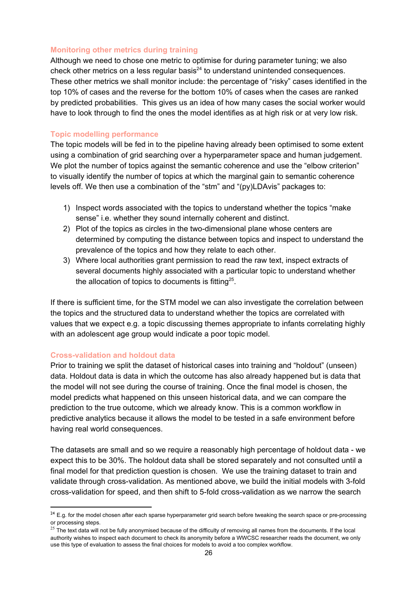### **Monitoring other metrics during training**

Although we need to chose one metric to optimise for during parameter tuning; we also check other metrics on a less regular basis $^{24}$  to understand unintended consequences. These other metrics we shall monitor include: the percentage of "risky" cases identified in the top 10% of cases and the reverse for the bottom 10% of cases when the cases are ranked by predicted probabilities. This gives us an idea of how many cases the social worker would have to look through to find the ones the model identifies as at high risk or at very low risk.

## **Topic modelling performance**

The topic models will be fed in to the pipeline having already been optimised to some extent using a combination of grid searching over a hyperparameter space and human judgement. We plot the number of topics against the semantic coherence and use the "elbow criterion" to visually identify the number of topics at which the marginal gain to semantic coherence levels off. We then use a combination of the "stm" and "(py)LDAvis" packages to:

- 1) Inspect words associated with the topics to understand whether the topics "make sense" i.e. whether they sound internally coherent and distinct.
- 2) Plot of the topics as circles in the two-dimensional plane whose centers are determined by computing the distance between topics and inspect to understand the prevalence of the topics and how they relate to each other.
- 3) Where local authorities grant permission to read the raw text, inspect extracts of several documents highly associated with a particular topic to understand whether the allocation of topics to documents is fitting<sup>25</sup>.

If there is sufficient time, for the STM model we can also investigate the correlation between the topics and the structured data to understand whether the topics are correlated with values that we expect e.g. a topic discussing themes appropriate to infants correlating highly with an adolescent age group would indicate a poor topic model.

### **Cross-validation and holdout data**

Prior to training we split the dataset of historical cases into training and "holdout" (unseen) data. Holdout data is data in which the outcome has also already happened but is data that the model will not see during the course of training. Once the final model is chosen, the model predicts what happened on this unseen historical data, and we can compare the prediction to the true outcome, which we already know. This is a common workflow in predictive analytics because it allows the model to be tested in a safe environment before having real world consequences.

The datasets are small and so we require a reasonably high percentage of holdout data - we expect this to be 30%. The holdout data shall be stored separately and not consulted until a final model for that prediction question is chosen. We use the training dataset to train and validate through cross-validation. As mentioned above, we build the initial models with 3-fold cross-validation for speed, and then shift to 5-fold cross-validation as we narrow the search

<sup>&</sup>lt;sup>24</sup> E.g. for the model chosen after each sparse hyperparameter grid search before tweaking the search space or pre-processing or processing steps.

 $25$  The text data will not be fully anonymised because of the difficulty of removing all names from the documents. If the local authority wishes to inspect each document to check its anonymity before a WWCSC researcher reads the document, we only use this type of evaluation to assess the final choices for models to avoid a too complex workflow.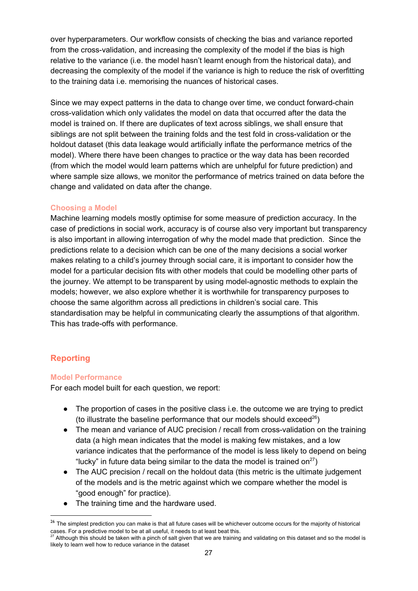over hyperparameters. Our workflow consists of checking the bias and variance reported from the cross-validation, and increasing the complexity of the model if the bias is high relative to the variance (i.e. the model hasn't learnt enough from the historical data), and decreasing the complexity of the model if the variance is high to reduce the risk of overfitting to the training data i.e. memorising the nuances of historical cases.

Since we may expect patterns in the data to change over time, we conduct forward-chain cross-validation which only validates the model on data that occurred after the data the model is trained on. If there are duplicates of text across siblings, we shall ensure that siblings are not split between the training folds and the test fold in cross-validation or the holdout dataset (this data leakage would artificially inflate the performance metrics of the model). Where there have been changes to practice or the way data has been recorded (from which the model would learn patterns which are unhelpful for future prediction) and where sample size allows, we monitor the performance of metrics trained on data before the change and validated on data after the change.

### **Choosing a Model**

Machine learning models mostly optimise for some measure of prediction accuracy. In the case of predictions in social work, accuracy is of course also very important but transparency is also important in allowing interrogation of why the model made that prediction. Since the predictions relate to a decision which can be one of the many decisions a social worker makes relating to a child's journey through social care, it is important to consider how the model for a particular decision fits with other models that could be modelling other parts of the journey. We attempt to be transparent by using model-agnostic methods to explain the models; however, we also explore whether it is worthwhile for transparency purposes to choose the same algorithm across all predictions in children's social care. This standardisation may be helpful in communicating clearly the assumptions of that algorithm. This has trade-offs with performance.

## <span id="page-26-0"></span>**Reporting**

### **Model Performance**

For each model built for each question, we report:

- The proportion of cases in the positive class i.e. the outcome we are trying to predict (to illustrate the baseline performance that our models should exceed<sup>26</sup>)
- The mean and variance of AUC precision / recall from cross-validation on the training data (a high mean indicates that the model is making few mistakes, and a low variance indicates that the performance of the model is less likely to depend on being "lucky" in future data being similar to the data the model is trained on<sup>27</sup>)
- The AUC precision / recall on the holdout data (this metric is the ultimate judgement of the models and is the metric against which we compare whether the model is "good enough" for practice).
- The training time and the hardware used.

<sup>&</sup>lt;sup>26</sup> The simplest prediction you can make is that all future cases will be whichever outcome occurs for the majority of historical cases. For a predictive model to be at all useful, it needs to at least beat this.

 $^{27}$  Although this should be taken with a pinch of salt given that we are training and validating on this dataset and so the model is likely to learn well how to reduce variance in the dataset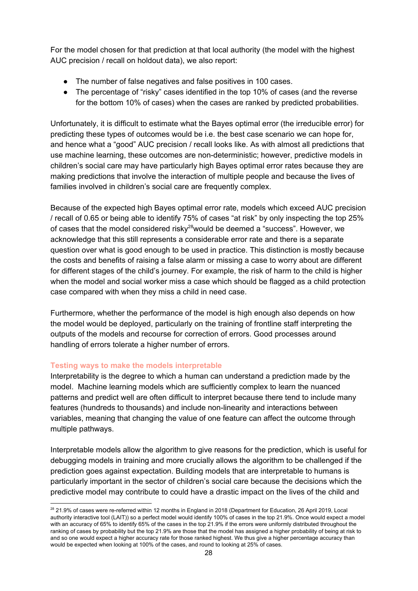For the model chosen for that prediction at that local authority (the model with the highest AUC precision / recall on holdout data), we also report:

- The number of false negatives and false positives in 100 cases.
- The percentage of "risky" cases identified in the top 10% of cases (and the reverse for the bottom 10% of cases) when the cases are ranked by predicted probabilities.

Unfortunately, it is difficult to estimate what the Bayes optimal error (the irreducible error) for predicting these types of outcomes would be i.e. the best case scenario we can hope for, and hence what a "good" AUC precision / recall looks like. As with almost all predictions that use machine learning, these outcomes are non-deterministic; however, predictive models in children's social care may have particularly high Bayes optimal error rates because they are making predictions that involve the interaction of multiple people and because the lives of families involved in children's social care are frequently complex.

Because of the expected high Bayes optimal error rate, models which exceed AUC precision / recall of 0.65 or being able to identify 75% of cases "at risk" by only inspecting the top 25% of cases that the model considered risky<sup>28</sup> would be deemed a "success". However, we acknowledge that this still represents a considerable error rate and there is a separate question over what is good enough to be used in practice. This distinction is mostly because the costs and benefits of raising a false alarm or missing a case to worry about are different for different stages of the child's journey. For example, the risk of harm to the child is higher when the model and social worker miss a case which should be flagged as a child protection case compared with when they miss a child in need case.

Furthermore, whether the performance of the model is high enough also depends on how the model would be deployed, particularly on the training of frontline staff interpreting the outputs of the models and recourse for correction of errors. Good processes around handling of errors tolerate a higher number of errors.

## **Testing ways to make the models interpretable**

Interpretability is the degree to which a human can understand a prediction made by the model. Machine learning models which are sufficiently complex to learn the nuanced patterns and predict well are often difficult to interpret because there tend to include many features (hundreds to thousands) and include non-linearity and interactions between variables, meaning that changing the value of one feature can affect the outcome through multiple pathways.

Interpretable models allow the algorithm to give reasons for the prediction, which is useful for debugging models in training and more crucially allows the algorithm to be challenged if the prediction goes against expectation. Building models that are interpretable to humans is particularly important in the sector of children's social care because the decisions which the predictive model may contribute to could have a drastic impact on the lives of the child and

 $28$  21.9% of cases were re-referred within 12 months in England in 2018 (Department for Education, 26 April 2019, Local authority interactive tool (LAIT)) so a perfect model would identify 100% of cases in the top 21.9%. Once would expect a model with an accuracy of 65% to identify 65% of the cases in the top 21.9% if the errors were uniformly distributed throughout the ranking of cases by probability but the top 21.9% are those that the model has assigned a higher probability of being at risk to and so one would expect a higher accuracy rate for those ranked highest. We thus give a higher percentage accuracy than would be expected when looking at 100% of the cases, and round to looking at 25% of cases.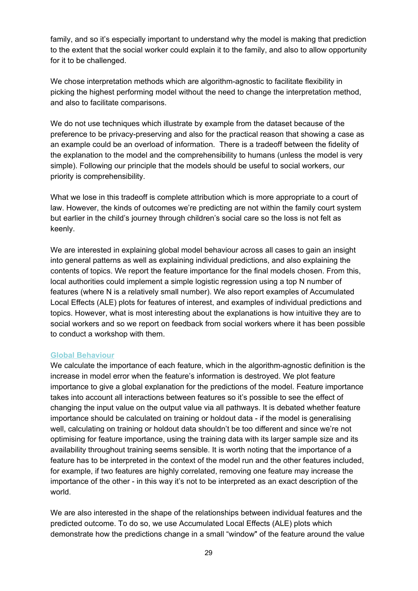family, and so it's especially important to understand why the model is making that prediction to the extent that the social worker could explain it to the family, and also to allow opportunity for it to be challenged.

We chose interpretation methods which are algorithm-agnostic to facilitate flexibility in picking the highest performing model without the need to change the interpretation method, and also to facilitate comparisons.

We do not use techniques which illustrate by example from the dataset because of the preference to be privacy-preserving and also for the practical reason that showing a case as an example could be an overload of information. There is a tradeoff between the fidelity of the explanation to the model and the comprehensibility to humans (unless the model is very simple). Following our principle that the models should be useful to social workers, our priority is comprehensibility.

What we lose in this tradeoff is complete attribution which is more appropriate to a court of law. However, the kinds of outcomes we're predicting are not within the family court system but earlier in the child's journey through children's social care so the loss is not felt as keenly.

We are interested in explaining global model behaviour across all cases to gain an insight into general patterns as well as explaining individual predictions, and also explaining the contents of topics. We report the feature importance for the final models chosen. From this, local authorities could implement a simple logistic regression using a top N number of features (where N is a relatively small number). We also report examples of Accumulated Local Effects (ALE) plots for features of interest, and examples of individual predictions and topics. However, what is most interesting about the explanations is how intuitive they are to social workers and so we report on feedback from social workers where it has been possible to conduct a workshop with them.

### **Global Behaviour**

We calculate the importance of each feature, which in the algorithm-agnostic definition is the increase in model error when the feature's information is destroyed. We plot feature importance to give a global explanation for the predictions of the model. Feature importance takes into account all interactions between features so it's possible to see the effect of changing the input value on the output value via all pathways. It is debated whether feature importance should be calculated on training or holdout data - if the model is generalising well, calculating on training or holdout data shouldn't be too different and since we're not optimising for feature importance, using the training data with its larger sample size and its availability throughout training seems sensible. It is worth noting that the importance of a feature has to be interpreted in the context of the model run and the other features included, for example, if two features are highly correlated, removing one feature may increase the importance of the other - in this way it's not to be interpreted as an exact description of the world.

We are also interested in the shape of the relationships between individual features and the predicted outcome. To do so, we use Accumulated Local Effects (ALE) plots which demonstrate how the predictions change in a small "window" of the feature around the value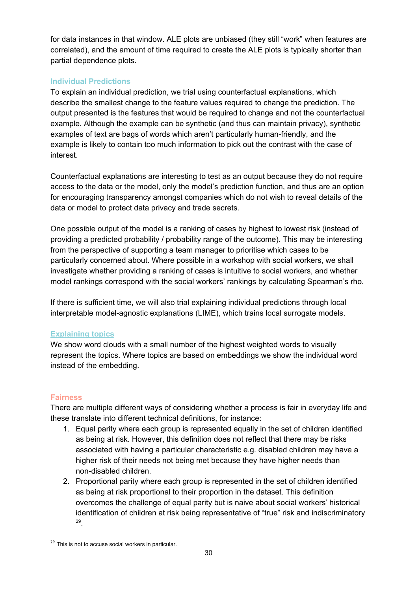for data instances in that window. ALE plots are unbiased (they still "work" when features are correlated), and the amount of time required to create the ALE plots is typically shorter than partial dependence plots.

## **Individual Predictions**

To explain an individual prediction, we trial using counterfactual explanations, which describe the smallest change to the feature values required to change the prediction. The output presented is the features that would be required to change and not the counterfactual example. Although the example can be synthetic (and thus can maintain privacy), synthetic examples of text are bags of words which aren't particularly human-friendly, and the example is likely to contain too much information to pick out the contrast with the case of interest.

Counterfactual explanations are interesting to test as an output because they do not require access to the data or the model, only the model's prediction function, and thus are an option for encouraging transparency amongst companies which do not wish to reveal details of the data or model to protect data privacy and trade secrets.

One possible output of the model is a ranking of cases by highest to lowest risk (instead of providing a predicted probability / probability range of the outcome). This may be interesting from the perspective of supporting a team manager to prioritise which cases to be particularly concerned about. Where possible in a workshop with social workers, we shall investigate whether providing a ranking of cases is intuitive to social workers, and whether model rankings correspond with the social workers' rankings by calculating Spearman's rho.

If there is sufficient time, we will also trial explaining individual predictions through local interpretable model-agnostic explanations (LIME), which trains local surrogate models.

# **Explaining topics**

We show word clouds with a small number of the highest weighted words to visually represent the topics. Where topics are based on embeddings we show the individual word instead of the embedding.

## **Fairness**

There are multiple different ways of considering whether a process is fair in everyday life and these translate into different technical definitions, for instance:

- 1. Equal parity where each group is represented equally in the set of children identified as being at risk. However, this definition does not reflect that there may be risks associated with having a particular characteristic e.g. disabled children may have a higher risk of their needs not being met because they have higher needs than non-disabled children.
- 2. Proportional parity where each group is represented in the set of children identified as being at risk proportional to their proportion in the dataset. This definition overcomes the challenge of equal parity but is naive about social workers' historical identification of children at risk being representative of "true" risk and indiscriminatory . 29

<sup>&</sup>lt;sup>29</sup> This is not to accuse social workers in particular.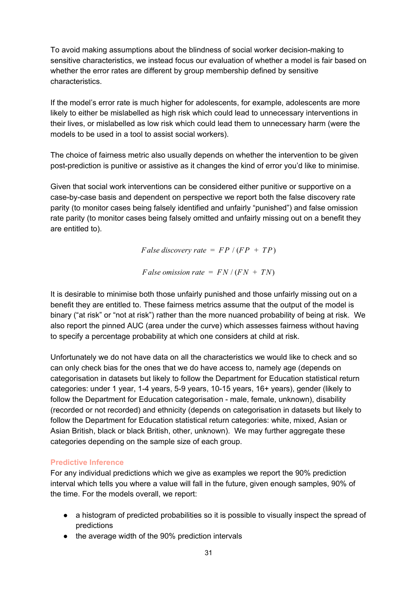To avoid making assumptions about the blindness of social worker decision-making to sensitive characteristics, we instead focus our evaluation of whether a model is fair based on whether the error rates are different by group membership defined by sensitive characteristics.

If the model's error rate is much higher for adolescents, for example, adolescents are more likely to either be mislabelled as high risk which could lead to unnecessary interventions in their lives, or mislabelled as low risk which could lead them to unnecessary harm (were the models to be used in a tool to assist social workers).

The choice of fairness metric also usually depends on whether the intervention to be given post-prediction is punitive or assistive as it changes the kind of error you'd like to minimise.

Given that social work interventions can be considered either punitive or supportive on a case-by-case basis and dependent on perspective we report both the false discovery rate parity (to monitor cases being falsely identified and unfairly "punished") and false omission rate parity (to monitor cases being falsely omitted and unfairly missing out on a benefit they are entitled to).

*False discovery rate* =  $FP$  /  $(FP + TP)$ 

*False omission*  $rate = FN / (FN + TN)$ 

It is desirable to minimise both those unfairly punished and those unfairly missing out on a benefit they are entitled to. These fairness metrics assume that the output of the model is binary ("at risk" or "not at risk") rather than the more nuanced probability of being at risk. We also report the pinned AUC (area under the curve) which assesses fairness without having to specify a percentage probability at which one considers at child at risk.

Unfortunately we do not have data on all the characteristics we would like to check and so can only check bias for the ones that we do have access to, namely age (depends on categorisation in datasets but likely to follow the Department for Education statistical return categories: under 1 year, 1-4 years, 5-9 years, 10-15 years, 16+ years), gender (likely to follow the Department for Education categorisation - male, female, unknown), disability (recorded or not recorded) and ethnicity (depends on categorisation in datasets but likely to follow the Department for Education statistical return categories: white, mixed, Asian or Asian British, black or black British, other, unknown). We may further aggregate these categories depending on the sample size of each group.

## **Predictive Inference**

For any individual predictions which we give as examples we report the 90% prediction interval which tells you where a value will fall in the future, given enough samples, 90% of the time. For the models overall, we report:

- a histogram of predicted probabilities so it is possible to visually inspect the spread of predictions
- the average width of the 90% prediction intervals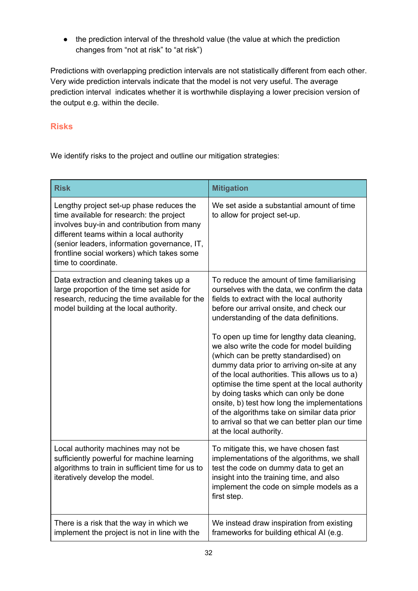● the prediction interval of the threshold value (the value at which the prediction changes from "not at risk" to "at risk")

Predictions with overlapping prediction intervals are not statistically different from each other. Very wide prediction intervals indicate that the model is not very useful. The average prediction interval indicates whether it is worthwhile displaying a lower precision version of the output e.g. within the decile.

# <span id="page-31-0"></span>**Risks**

We identify risks to the project and outline our mitigation strategies:

| <b>Risk</b>                                                                                                                                                                                                                                                                                         | <b>Mitigation</b>                                                                                                                                                                                                                                                                                                                                                                                                                                                                                                                                                                                                                                                                                                                           |
|-----------------------------------------------------------------------------------------------------------------------------------------------------------------------------------------------------------------------------------------------------------------------------------------------------|---------------------------------------------------------------------------------------------------------------------------------------------------------------------------------------------------------------------------------------------------------------------------------------------------------------------------------------------------------------------------------------------------------------------------------------------------------------------------------------------------------------------------------------------------------------------------------------------------------------------------------------------------------------------------------------------------------------------------------------------|
| Lengthy project set-up phase reduces the<br>time available for research: the project<br>involves buy-in and contribution from many<br>different teams within a local authority<br>(senior leaders, information governance, IT,<br>frontline social workers) which takes some<br>time to coordinate. | We set aside a substantial amount of time<br>to allow for project set-up.                                                                                                                                                                                                                                                                                                                                                                                                                                                                                                                                                                                                                                                                   |
| Data extraction and cleaning takes up a<br>large proportion of the time set aside for<br>research, reducing the time available for the<br>model building at the local authority.                                                                                                                    | To reduce the amount of time familiarising<br>ourselves with the data, we confirm the data<br>fields to extract with the local authority<br>before our arrival onsite, and check our<br>understanding of the data definitions.<br>To open up time for lengthy data cleaning,<br>we also write the code for model building<br>(which can be pretty standardised) on<br>dummy data prior to arriving on-site at any<br>of the local authorities. This allows us to a)<br>optimise the time spent at the local authority<br>by doing tasks which can only be done<br>onsite, b) test how long the implementations<br>of the algorithms take on similar data prior<br>to arrival so that we can better plan our time<br>at the local authority. |
| Local authority machines may not be<br>sufficiently powerful for machine learning<br>algorithms to train in sufficient time for us to<br>iteratively develop the model.                                                                                                                             | To mitigate this, we have chosen fast<br>implementations of the algorithms, we shall<br>test the code on dummy data to get an<br>insight into the training time, and also<br>implement the code on simple models as a<br>first step.                                                                                                                                                                                                                                                                                                                                                                                                                                                                                                        |
| There is a risk that the way in which we<br>implement the project is not in line with the                                                                                                                                                                                                           | We instead draw inspiration from existing<br>frameworks for building ethical AI (e.g.                                                                                                                                                                                                                                                                                                                                                                                                                                                                                                                                                                                                                                                       |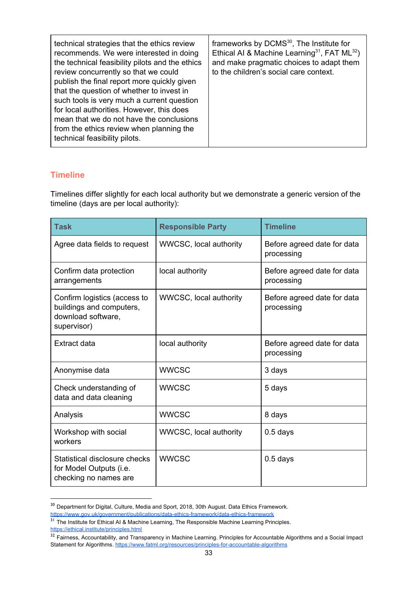| technical strategies that the ethics review<br>recommends. We were interested in doing<br>the technical feasibility pilots and the ethics<br>review concurrently so that we could<br>publish the final report more quickly given<br>that the question of whether to invest in<br>such tools is very much a current question<br>for local authorities. However, this does<br>mean that we do not have the conclusions<br>from the ethics review when planning the<br>technical feasibility pilots. | frameworks by DCMS <sup>30</sup> , The Institute for<br>Ethical AI & Machine Learning <sup>31</sup> , FAT ML <sup>32</sup> )<br>and make pragmatic choices to adapt them<br>to the children's social care context. |
|---------------------------------------------------------------------------------------------------------------------------------------------------------------------------------------------------------------------------------------------------------------------------------------------------------------------------------------------------------------------------------------------------------------------------------------------------------------------------------------------------|--------------------------------------------------------------------------------------------------------------------------------------------------------------------------------------------------------------------|
|---------------------------------------------------------------------------------------------------------------------------------------------------------------------------------------------------------------------------------------------------------------------------------------------------------------------------------------------------------------------------------------------------------------------------------------------------------------------------------------------------|--------------------------------------------------------------------------------------------------------------------------------------------------------------------------------------------------------------------|

## <span id="page-32-0"></span>**Timeline**

Timelines differ slightly for each local authority but we demonstrate a generic version of the timeline (days are per local authority):

| Task                                                                                          | <b>Responsible Party</b> | <b>Timeline</b>                           |  |
|-----------------------------------------------------------------------------------------------|--------------------------|-------------------------------------------|--|
| Agree data fields to request                                                                  | WWCSC, local authority   | Before agreed date for data<br>processing |  |
| Confirm data protection<br>arrangements                                                       | local authority          | Before agreed date for data<br>processing |  |
| Confirm logistics (access to<br>buildings and computers,<br>download software,<br>supervisor) | WWCSC, local authority   | Before agreed date for data<br>processing |  |
| Extract data                                                                                  | local authority          | Before agreed date for data<br>processing |  |
| Anonymise data                                                                                | <b>WWCSC</b>             | 3 days                                    |  |
| Check understanding of<br>data and data cleaning                                              | <b>WWCSC</b>             | 5 days                                    |  |
| Analysis                                                                                      | <b>WWCSC</b>             | 8 days                                    |  |
| Workshop with social<br>workers                                                               | WWCSC, local authority   | $0.5$ days                                |  |
| Statistical disclosure checks<br>for Model Outputs (i.e.<br>checking no names are             | <b>WWCSC</b>             | $0.5$ days                                |  |

<sup>&</sup>lt;sup>30</sup> Department for Digital, Culture, Media and Sport, 2018, 30th August. Data Ethics Framework.

<https://www.gov.uk/government/publications/data-ethics-framework/data-ethics-framework>

<sup>&</sup>lt;sup>31</sup> The Institute for Ethical AI & Machine Learning, The Responsible Machine Learning Principles. <https://ethical.institute/principles.html>

 $32$  Fairness, Accountability, and Transparency in Machine Learning. Principles for Accountable Algorithms and a Social Impact Statement for Algorithms. <https://www.fatml.org/resources/principles-for-accountable-algorithms>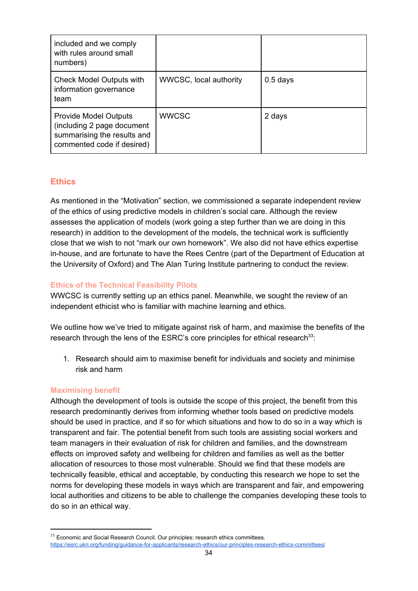| included and we comply<br>with rules around small<br>numbers)                                                           |                        |            |
|-------------------------------------------------------------------------------------------------------------------------|------------------------|------------|
| <b>Check Model Outputs with</b><br>information governance<br>team                                                       | WWCSC, local authority | $0.5$ days |
| <b>Provide Model Outputs</b><br>(including 2 page document<br>summarising the results and<br>commented code if desired) | <b>WWCSC</b>           | 2 days     |

## <span id="page-33-0"></span>**Ethics**

As mentioned in the "Motivation" section, we commissioned a separate independent review of the ethics of using predictive models in children's social care. Although the review assesses the application of models (work going a step further than we are doing in this research) in addition to the development of the models, the technical work is sufficiently close that we wish to not "mark our own homework". We also did not have ethics expertise in-house, and are fortunate to have the Rees Centre (part of the Department of Education at the University of Oxford) and The Alan Turing Institute partnering to conduct the review.

## **Ethics of the Technical Feasibility Pilots**

WWCSC is currently setting up an ethics panel. Meanwhile, we sought the review of an independent ethicist who is familiar with machine learning and ethics.

We outline how we've tried to mitigate against risk of harm, and maximise the benefits of the research through the lens of the ESRC's core principles for ethical research<sup>33</sup>:

1. Research should aim to maximise benefit for individuals and society and minimise risk and harm

## **Maximising benefit**

Although the development of tools is outside the scope of this project, the benefit from this research predominantly derives from informing whether tools based on predictive models should be used in practice, and if so for which situations and how to do so in a way which is transparent and fair. The potential benefit from such tools are assisting social workers and team managers in their evaluation of risk for children and families, and the downstream effects on improved safety and wellbeing for children and families as well as the better allocation of resources to those most vulnerable. Should we find that these models are technically feasible, ethical and acceptable, by conducting this research we hope to set the norms for developing these models in ways which are transparent and fair, and empowering local authorities and citizens to be able to challenge the companies developing these tools to do so in an ethical way.

<sup>&</sup>lt;sup>33</sup> Economic and Social Research Council. Our principles: research ethics committees. <https://esrc.ukri.org/funding/guidance-for-applicants/research-ethics/our-principles-research-ethics-committees/>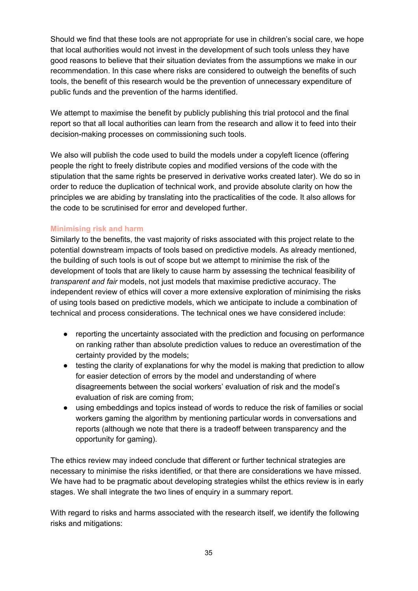Should we find that these tools are not appropriate for use in children's social care, we hope that local authorities would not invest in the development of such tools unless they have good reasons to believe that their situation deviates from the assumptions we make in our recommendation. In this case where risks are considered to outweigh the benefits of such tools, the benefit of this research would be the prevention of unnecessary expenditure of public funds and the prevention of the harms identified.

We attempt to maximise the benefit by publicly publishing this trial protocol and the final report so that all local authorities can learn from the research and allow it to feed into their decision-making processes on commissioning such tools.

We also will publish the code used to build the models under a copyleft licence (offering people the right to freely distribute copies and modified versions of the code with the stipulation that the same rights be preserved in derivative works created later). We do so in order to reduce the duplication of technical work, and provide absolute clarity on how the principles we are abiding by translating into the practicalities of the code. It also allows for the code to be scrutinised for error and developed further.

## **Minimising risk and harm**

Similarly to the benefits, the vast majority of risks associated with this project relate to the potential downstream impacts of tools based on predictive models. As already mentioned, the building of such tools is out of scope but we attempt to minimise the risk of the development of tools that are likely to cause harm by assessing the technical feasibility of *transparent and fair* models, not just models that maximise predictive accuracy. The independent review of ethics will cover a more extensive exploration of minimising the risks of using tools based on predictive models, which we anticipate to include a combination of technical and process considerations. The technical ones we have considered include:

- reporting the uncertainty associated with the prediction and focusing on performance on ranking rather than absolute prediction values to reduce an overestimation of the certainty provided by the models;
- testing the clarity of explanations for why the model is making that prediction to allow for easier detection of errors by the model and understanding of where disagreements between the social workers' evaluation of risk and the model's evaluation of risk are coming from;
- using embeddings and topics instead of words to reduce the risk of families or social workers gaming the algorithm by mentioning particular words in conversations and reports (although we note that there is a tradeoff between transparency and the opportunity for gaming).

The ethics review may indeed conclude that different or further technical strategies are necessary to minimise the risks identified, or that there are considerations we have missed. We have had to be pragmatic about developing strategies whilst the ethics review is in early stages. We shall integrate the two lines of enquiry in a summary report.

With regard to risks and harms associated with the research itself, we identify the following risks and mitigations: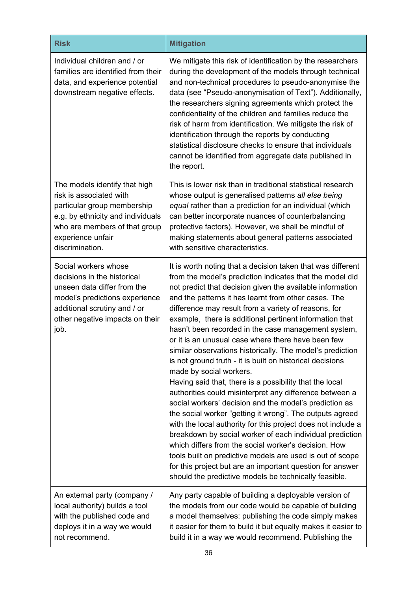| <b>Risk</b>                                                                                                                                                                                           | <b>Mitigation</b>                                                                                                                                                                                                                                                                                                                                                                                                                                                                                                                                                                                                                                                                                                                                                                                                                                                                                                                                                                                                                                                                                                                                                                                                                                    |
|-------------------------------------------------------------------------------------------------------------------------------------------------------------------------------------------------------|------------------------------------------------------------------------------------------------------------------------------------------------------------------------------------------------------------------------------------------------------------------------------------------------------------------------------------------------------------------------------------------------------------------------------------------------------------------------------------------------------------------------------------------------------------------------------------------------------------------------------------------------------------------------------------------------------------------------------------------------------------------------------------------------------------------------------------------------------------------------------------------------------------------------------------------------------------------------------------------------------------------------------------------------------------------------------------------------------------------------------------------------------------------------------------------------------------------------------------------------------|
| Individual children and / or<br>families are identified from their<br>data, and experience potential<br>downstream negative effects.                                                                  | We mitigate this risk of identification by the researchers<br>during the development of the models through technical<br>and non-technical procedures to pseudo-anonymise the<br>data (see "Pseudo-anonymisation of Text"). Additionally,<br>the researchers signing agreements which protect the<br>confidentiality of the children and families reduce the<br>risk of harm from identification. We mitigate the risk of<br>identification through the reports by conducting<br>statistical disclosure checks to ensure that individuals<br>cannot be identified from aggregate data published in<br>the report.                                                                                                                                                                                                                                                                                                                                                                                                                                                                                                                                                                                                                                     |
| The models identify that high<br>risk is associated with<br>particular group membership<br>e.g. by ethnicity and individuals<br>who are members of that group<br>experience unfair<br>discrimination. | This is lower risk than in traditional statistical research<br>whose output is generalised patterns all else being<br>equal rather than a prediction for an individual (which<br>can better incorporate nuances of counterbalancing<br>protective factors). However, we shall be mindful of<br>making statements about general patterns associated<br>with sensitive characteristics.                                                                                                                                                                                                                                                                                                                                                                                                                                                                                                                                                                                                                                                                                                                                                                                                                                                                |
| Social workers whose<br>decisions in the historical<br>unseen data differ from the<br>model's predictions experience<br>additional scrutiny and / or<br>other negative impacts on their<br>job.       | It is worth noting that a decision taken that was different<br>from the model's prediction indicates that the model did<br>not predict that decision given the available information<br>and the patterns it has learnt from other cases. The<br>difference may result from a variety of reasons, for<br>example, there is additional pertinent information that<br>hasn't been recorded in the case management system,<br>or it is an unusual case where there have been few<br>similar observations historically. The model's prediction<br>is not ground truth - it is built on historical decisions<br>made by social workers.<br>Having said that, there is a possibility that the local<br>authorities could misinterpret any difference between a<br>social workers' decision and the model's prediction as<br>the social worker "getting it wrong". The outputs agreed<br>with the local authority for this project does not include a<br>breakdown by social worker of each individual prediction<br>which differs from the social worker's decision. How<br>tools built on predictive models are used is out of scope<br>for this project but are an important question for answer<br>should the predictive models be technically feasible. |
| An external party (company /<br>local authority) builds a tool<br>with the published code and<br>deploys it in a way we would<br>not recommend.                                                       | Any party capable of building a deployable version of<br>the models from our code would be capable of building<br>a model themselves: publishing the code simply makes<br>it easier for them to build it but equally makes it easier to<br>build it in a way we would recommend. Publishing the                                                                                                                                                                                                                                                                                                                                                                                                                                                                                                                                                                                                                                                                                                                                                                                                                                                                                                                                                      |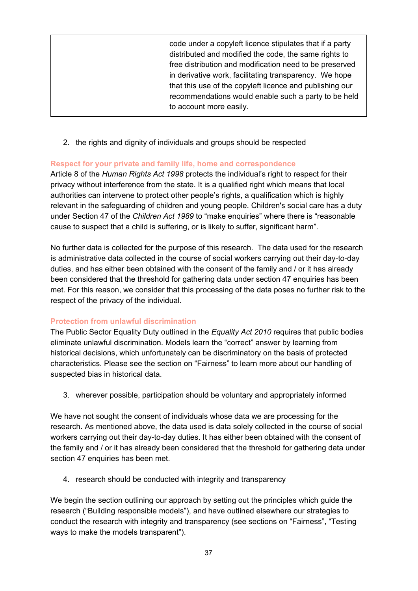| code under a copyleft licence stipulates that if a party<br>distributed and modified the code, the same rights to<br>free distribution and modification need to be preserved<br>in derivative work, facilitating transparency. We hope<br>that this use of the copyleft licence and publishing our<br>recommendations would enable such a party to be held<br>to account more easily. |
|---------------------------------------------------------------------------------------------------------------------------------------------------------------------------------------------------------------------------------------------------------------------------------------------------------------------------------------------------------------------------------------|
|                                                                                                                                                                                                                                                                                                                                                                                       |

2. the rights and dignity of individuals and groups should be respected

### **Respect for your private and family life, home and correspondence**

Article 8 of the *Human Rights Act 1998* protects the individual's right to respect for their privacy without interference from the state. It is a qualified right which means that local authorities can intervene to protect other people's rights, a qualification which is highly relevant in the safeguarding of children and young people. Children's social care has a duty under Section 47 of the *Children Act 1989* to "make enquiries" where there is "reasonable cause to suspect that a child is suffering, or is likely to suffer, significant harm".

No further data is collected for the purpose of this research. The data used for the research is administrative data collected in the course of social workers carrying out their day-to-day duties, and has either been obtained with the consent of the family and / or it has already been considered that the threshold for gathering data under section 47 enquiries has been met. For this reason, we consider that this processing of the data poses no further risk to the respect of the privacy of the individual.

### **Protection from unlawful discrimination**

The Public Sector Equality Duty outlined in the *Equality Act 2010* requires that public bodies eliminate unlawful discrimination. Models learn the "correct" answer by learning from historical decisions, which unfortunately can be discriminatory on the basis of protected characteristics. Please see the section on "Fairness" to learn more about our handling of suspected bias in historical data.

3. wherever possible, participation should be voluntary and appropriately informed

We have not sought the consent of individuals whose data we are processing for the research. As mentioned above, the data used is data solely collected in the course of social workers carrying out their day-to-day duties. It has either been obtained with the consent of the family and / or it has already been considered that the threshold for gathering data under section 47 enquiries has been met.

4. research should be conducted with integrity and transparency

We begin the section outlining our approach by setting out the principles which guide the research ("Building responsible models"), and have outlined elsewhere our strategies to conduct the research with integrity and transparency (see sections on "Fairness", "Testing ways to make the models transparent").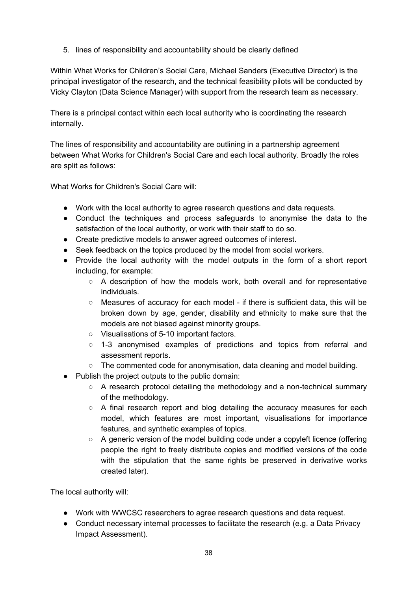5. lines of responsibility and accountability should be clearly defined

Within What Works for Children's Social Care, Michael Sanders (Executive Director) is the principal investigator of the research, and the technical feasibility pilots will be conducted by Vicky Clayton (Data Science Manager) with support from the research team as necessary.

There is a principal contact within each local authority who is coordinating the research internally.

The lines of responsibility and accountability are outlining in a partnership agreement between What Works for Children's Social Care and each local authority. Broadly the roles are split as follows:

What Works for Children's Social Care will:

- Work with the local authority to agree research questions and data requests.
- Conduct the techniques and process safeguards to anonymise the data to the satisfaction of the local authority, or work with their staff to do so.
- Create predictive models to answer agreed outcomes of interest.
- Seek feedback on the topics produced by the model from social workers.
- Provide the local authority with the model outputs in the form of a short report including, for example:
	- $\circ$  A description of how the models work, both overall and for representative individuals.
	- Measures of accuracy for each model if there is sufficient data, this will be broken down by age, gender, disability and ethnicity to make sure that the models are not biased against minority groups.
	- Visualisations of 5-10 important factors.
	- 1-3 anonymised examples of predictions and topics from referral and assessment reports.
	- The commented code for anonymisation, data cleaning and model building.
- Publish the project outputs to the public domain:
	- A research protocol detailing the methodology and a non-technical summary of the methodology.
	- A final research report and blog detailing the accuracy measures for each model, which features are most important, visualisations for importance features, and synthetic examples of topics.
	- A generic version of the model building code under a copyleft licence (offering people the right to freely distribute copies and modified versions of the code with the stipulation that the same rights be preserved in derivative works created later).

The local authority will:

- Work with WWCSC researchers to agree research questions and data request.
- Conduct necessary internal processes to facilitate the research (e.g. a Data Privacy Impact Assessment).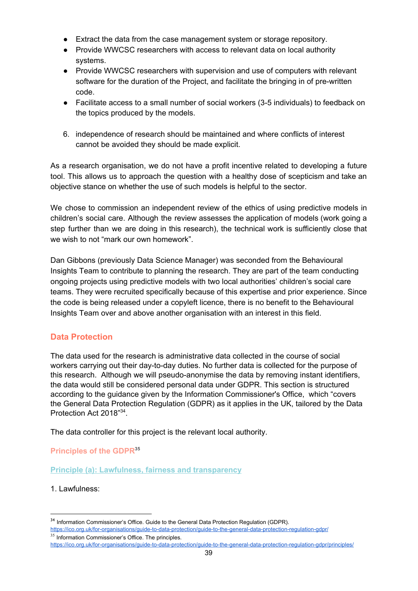- Extract the data from the case management system or storage repository.
- Provide WWCSC researchers with access to relevant data on local authority systems.
- Provide WWCSC researchers with supervision and use of computers with relevant software for the duration of the Project, and facilitate the bringing in of pre-written code.
- Facilitate access to a small number of social workers (3-5 individuals) to feedback on the topics produced by the models.
- 6. independence of research should be maintained and where conflicts of interest cannot be avoided they should be made explicit.

As a research organisation, we do not have a profit incentive related to developing a future tool. This allows us to approach the question with a healthy dose of scepticism and take an objective stance on whether the use of such models is helpful to the sector.

We chose to commission an independent review of the ethics of using predictive models in children's social care. Although the review assesses the application of models (work going a step further than we are doing in this research), the technical work is sufficiently close that we wish to not "mark our own homework".

Dan Gibbons (previously Data Science Manager) was seconded from the Behavioural Insights Team to contribute to planning the research. They are part of the team conducting ongoing projects using predictive models with two local authorities' children's social care teams. They were recruited specifically because of this expertise and prior experience. Since the code is being released under a copyleft licence, there is no benefit to the Behavioural Insights Team over and above another organisation with an interest in this field.

# <span id="page-38-0"></span>**Data Protection**

The data used for the research is administrative data collected in the course of social workers carrying out their day-to-day duties. No further data is collected for the purpose of this research. Although we will pseudo-anonymise the data by removing instant identifiers, the data would still be considered personal data under GDPR. This section is structured according to the guidance given by the Information Commissioner's Office, which "covers the General Data Protection Regulation (GDPR) as it applies in the UK, tailored by the Data Protection Act 2018"<sup>34</sup>.

The data controller for this project is the relevant local authority.

## **Principles of the GDPR 35**

**Principle (a): Lawfulness, fairness and transparency**

1. Lawfulness:

<sup>&</sup>lt;sup>34</sup> Information Commissioner's Office. Guide to the General Data Protection Regulation (GDPR).

<https://ico.org.uk/for-organisations/guide-to-data-protection/guide-to-the-general-data-protection-regulation-gdpr/> <sup>35</sup> Information Commissioner's Office. The principles.

<https://ico.org.uk/for-organisations/guide-to-data-protection/guide-to-the-general-data-protection-regulation-gdpr/principles/>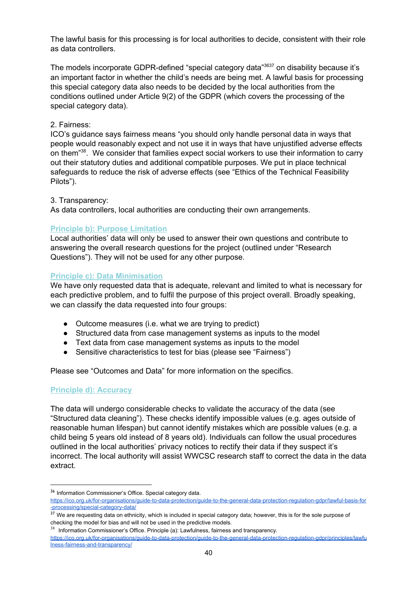The lawful basis for this processing is for local authorities to decide, consistent with their role as data controllers.

The models incorporate GDPR-defined "special category data"<sup>3637</sup> on disability because it's an important factor in whether the child's needs are being met. A lawful basis for processing this special category data also needs to be decided by the local authorities from the conditions outlined under Article 9(2) of the GDPR (which covers the processing of the special category data).

### 2. Fairness:

ICO's guidance says fairness means "you should only handle personal data in ways that people would reasonably expect and not use it in ways that have unjustified adverse effects on them"<sup>38</sup>. We consider that families expect social workers to use their information to carry out their statutory duties and additional compatible purposes. We put in place technical safeguards to reduce the risk of adverse effects (see "Ethics of the Technical Feasibility Pilots").

3. Transparency:

As data controllers, local authorities are conducting their own arrangements.

## **Principle b): Purpose Limitation**

Local authorities' data will only be used to answer their own questions and contribute to answering the overall research questions for the project (outlined under "Research Questions"). They will not be used for any other purpose.

### **Principle c): Data Minimisation**

We have only requested data that is adequate, relevant and limited to what is necessary for each predictive problem, and to fulfil the purpose of this project overall. Broadly speaking, we can classify the data requested into four groups:

- Outcome measures (i.e. what we are trying to predict)
- Structured data from case management systems as inputs to the model
- Text data from case management systems as inputs to the model
- Sensitive characteristics to test for bias (please see "Fairness")

Please see "Outcomes and Data" for more information on the specifics.

### **Principle d): Accuracy**

The data will undergo considerable checks to validate the accuracy of the data (see "Structured data cleaning"). These checks identify impossible values (e.g. ages outside of reasonable human lifespan) but cannot identify mistakes which are possible values (e.g. a child being 5 years old instead of 8 years old). Individuals can follow the usual procedures outlined in the local authorities' privacy notices to rectify their data if they suspect it's incorrect. The local authority will assist WWCSC research staff to correct the data in the data extract.

 $38$  Information Commissioner's Office. Principle (a): Lawfulness, fairness and transparency.

[https://ico.org.uk/for-organisations/guide-to-data-protection/guide-to-the-general-data-protection-regulation-gdpr/principles/lawfu](https://ico.org.uk/for-organisations/guide-to-data-protection/guide-to-the-general-data-protection-regulation-gdpr/principles/lawfulness-fairness-and-transparency/) [lness-fairness-and-transparency/](https://ico.org.uk/for-organisations/guide-to-data-protection/guide-to-the-general-data-protection-regulation-gdpr/principles/lawfulness-fairness-and-transparency/)

<sup>&</sup>lt;sup>36</sup> Information Commissioner's Office. Special category data.

[https://ico.org.uk/for-organisations/guide-to-data-protection/guide-to-the-general-data-protection-regulation-gdpr/lawful-basis-for](https://ico.org.uk/for-organisations/guide-to-data-protection/guide-to-the-general-data-protection-regulation-gdpr/lawful-basis-for-processing/special-category-data/) [-processing/special-category-data/](https://ico.org.uk/for-organisations/guide-to-data-protection/guide-to-the-general-data-protection-regulation-gdpr/lawful-basis-for-processing/special-category-data/)

<sup>&</sup>lt;sup>37</sup> We are requesting data on ethnicity, which is included in special category data; however, this is for the sole purpose of checking the model for bias and will not be used in the predictive models.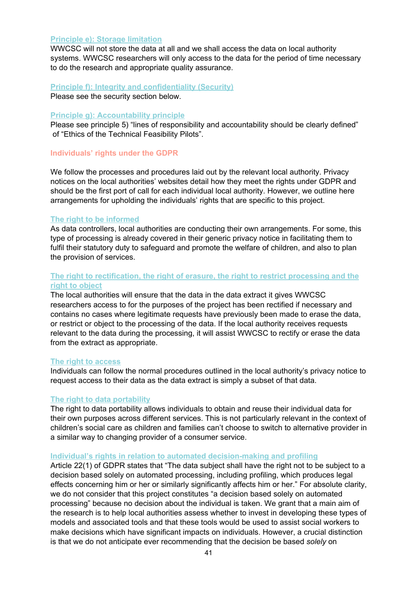#### **Principle e): Storage limitation**

WWCSC will not store the data at all and we shall access the data on local authority systems. WWCSC researchers will only access to the data for the period of time necessary to do the research and appropriate quality assurance.

**Principle f): Integrity and confidentiality (Security)** Please see the security section below.

#### **Principle g): Accountability principle**

Please see principle 5) "lines of responsibility and accountability should be clearly defined" of "Ethics of the Technical Feasibility Pilots".

#### **Individuals' rights under the GDPR**

We follow the processes and procedures laid out by the relevant local authority. Privacy notices on the local authorities' websites detail how they meet the rights under GDPR and should be the first port of call for each individual local authority. However, we outline here arrangements for upholding the individuals' rights that are specific to this project.

#### **The right to be informed**

As data controllers, local authorities are conducting their own arrangements. For some, this type of processing is already covered in their generic privacy notice in facilitating them to fulfil their statutory duty to safeguard and promote the welfare of children, and also to plan the provision of services.

#### **The right to rectification, the right of erasure, the right to restrict processing and the right to object**

The local authorities will ensure that the data in the data extract it gives WWCSC researchers access to for the purposes of the project has been rectified if necessary and contains no cases where legitimate requests have previously been made to erase the data, or restrict or object to the processing of the data. If the local authority receives requests relevant to the data during the processing, it will assist WWCSC to rectify or erase the data from the extract as appropriate.

#### **The right to access**

Individuals can follow the normal procedures outlined in the local authority's privacy notice to request access to their data as the data extract is simply a subset of that data.

#### **The right to data portability**

The right to data portability allows individuals to obtain and reuse their individual data for their own purposes across different services. This is not particularly relevant in the context of children's social care as children and families can't choose to switch to alternative provider in a similar way to changing provider of a consumer service.

#### **Individual's rights in relation to automated decision-making and profiling**

Article 22(1) of GDPR states that "The data subject shall have the right not to be subject to a decision based solely on automated processing, including profiling, which produces legal effects concerning him or her or similarly significantly affects him or her." For absolute clarity, we do not consider that this project constitutes "a decision based solely on automated processing" because no decision about the individual is taken. We grant that a main aim of the research is to help local authorities assess whether to invest in developing these types of models and associated tools and that these tools would be used to assist social workers to make decisions which have significant impacts on individuals. However, a crucial distinction is that we do not anticipate ever recommending that the decision be based *solely* on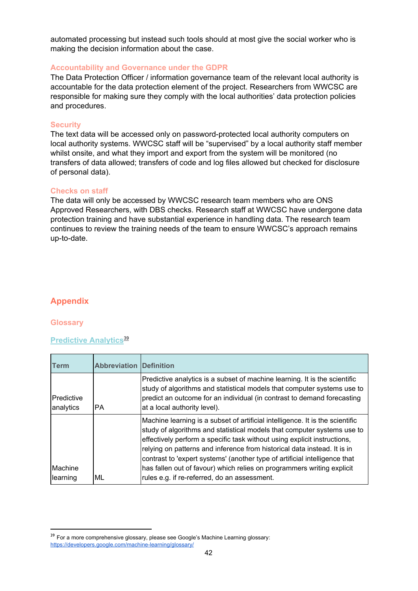automated processing but instead such tools should at most give the social worker who is making the decision information about the case.

#### **Accountability and Governance under the GDPR**

The Data Protection Officer / information governance team of the relevant local authority is accountable for the data protection element of the project. Researchers from WWCSC are responsible for making sure they comply with the local authorities' data protection policies and procedures.

#### **Security**

The text data will be accessed only on password-protected local authority computers on local authority systems. WWCSC staff will be "supervised" by a local authority staff member whilst onsite, and what they import and export from the system will be monitored (no transfers of data allowed; transfers of code and log files allowed but checked for disclosure of personal data).

#### **Checks on staff**

The data will only be accessed by WWCSC research team members who are ONS Approved Researchers, with DBS checks. Research staff at WWCSC have undergone data protection training and have substantial experience in handling data. The research team continues to review the training needs of the team to ensure WWCSC's approach remains up-to-date.

## **Appendix**

### **Glossary**

### **Predictive Analytics 39**

| Term                    | <b>Abbreviation Definition</b> |                                                                                                                                                                                                                                                                                                                                                                                                                                                                                                                          |
|-------------------------|--------------------------------|--------------------------------------------------------------------------------------------------------------------------------------------------------------------------------------------------------------------------------------------------------------------------------------------------------------------------------------------------------------------------------------------------------------------------------------------------------------------------------------------------------------------------|
| Predictive<br>analytics | <b>PA</b>                      | Predictive analytics is a subset of machine learning. It is the scientific<br>study of algorithms and statistical models that computer systems use to<br>predict an outcome for an individual (in contrast to demand forecasting<br>at a local authority level).                                                                                                                                                                                                                                                         |
| Machine<br>learning     | ML                             | Machine learning is a subset of artificial intelligence. It is the scientific<br>study of algorithms and statistical models that computer systems use to<br>effectively perform a specific task without using explicit instructions,<br>relying on patterns and inference from historical data instead. It is in<br>contrast to 'expert systems' (another type of artificial intelligence that<br>has fallen out of favour) which relies on programmers writing explicit<br>rules e.g. if re-referred, do an assessment. |

<sup>&</sup>lt;sup>39</sup> For a more comprehensive glossary, please see Google's Machine Learning glossary: <https://developers.google.com/machine-learning/glossary/>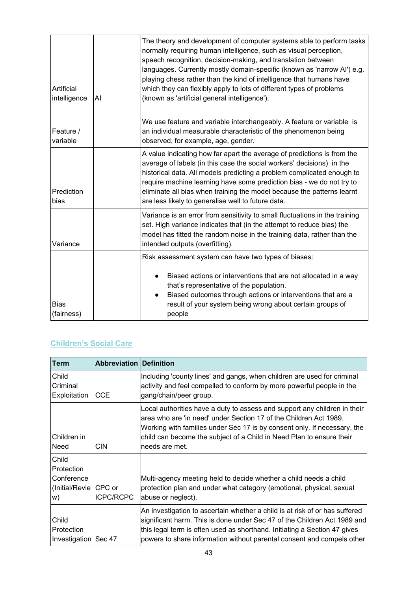| Artificial<br>intelligence | Al | The theory and development of computer systems able to perform tasks<br>normally requiring human intelligence, such as visual perception,<br>speech recognition, decision-making, and translation between<br>languages. Currently mostly domain-specific (known as 'narrow Al') e.g.<br>playing chess rather than the kind of intelligence that humans have<br>which they can flexibly apply to lots of different types of problems<br>(known as 'artificial general intelligence'). |
|----------------------------|----|--------------------------------------------------------------------------------------------------------------------------------------------------------------------------------------------------------------------------------------------------------------------------------------------------------------------------------------------------------------------------------------------------------------------------------------------------------------------------------------|
| Feature /<br>variable      |    | We use feature and variable interchangeably. A feature or variable is<br>an individual measurable characteristic of the phenomenon being<br>observed, for example, age, gender.                                                                                                                                                                                                                                                                                                      |
| Prediction<br>bias         |    | A value indicating how far apart the average of predictions is from the<br>average of labels (in this case the social workers' decisions) in the<br>historical data. All models predicting a problem complicated enough to<br>require machine learning have some prediction bias - we do not try to<br>eliminate all bias when training the model because the patterns learnt<br>are less likely to generalise well to future data.                                                  |
| Variance                   |    | Variance is an error from sensitivity to small fluctuations in the training<br>set. High variance indicates that (in the attempt to reduce bias) the<br>model has fitted the random noise in the training data, rather than the<br>intended outputs (overfitting).                                                                                                                                                                                                                   |
| <b>Bias</b><br>(fairness)  |    | Risk assessment system can have two types of biases:<br>Biased actions or interventions that are not allocated in a way<br>that's representative of the population.<br>Biased outcomes through actions or interventions that are a<br>$\bullet$<br>result of your system being wrong about certain groups of<br>people                                                                                                                                                               |

# **Children's Social Care**

| Term                                                      | <b>Abbreviation Definition</b> |                                                                                                                                                                                                                                                                                                                       |
|-----------------------------------------------------------|--------------------------------|-----------------------------------------------------------------------------------------------------------------------------------------------------------------------------------------------------------------------------------------------------------------------------------------------------------------------|
| Child<br>Criminal<br>Exploitation                         | CCE                            | Including 'county lines' and gangs, when children are used for criminal<br>activity and feel compelled to conform by more powerful people in the<br>gang/chain/peer group.                                                                                                                                            |
| Children in<br>Need                                       | CIN                            | Local authorities have a duty to assess and support any children in their<br>larea who are 'in need' under Section 17 of the Children Act 1989.<br>Working with families under Sec 17 is by consent only. If necessary, the<br>child can become the subject of a Child in Need Plan to ensure their<br>needs are met. |
| Child<br>Protection<br>Conference<br>(Initial/Revie<br>w) | CPC or<br><b>ICPC/RCPC</b>     | Multi-agency meeting held to decide whether a child needs a child<br>protection plan and under what category (emotional, physical, sexual<br>abuse or neglect).                                                                                                                                                       |
| Child<br>Protection<br>Investigation Sec 47               |                                | An investigation to ascertain whether a child is at risk of or has suffered<br>significant harm. This is done under Sec 47 of the Children Act 1989 and<br>this legal term is often used as shorthand. Initiating a Section 47 gives<br>powers to share information without parental consent and compels other        |